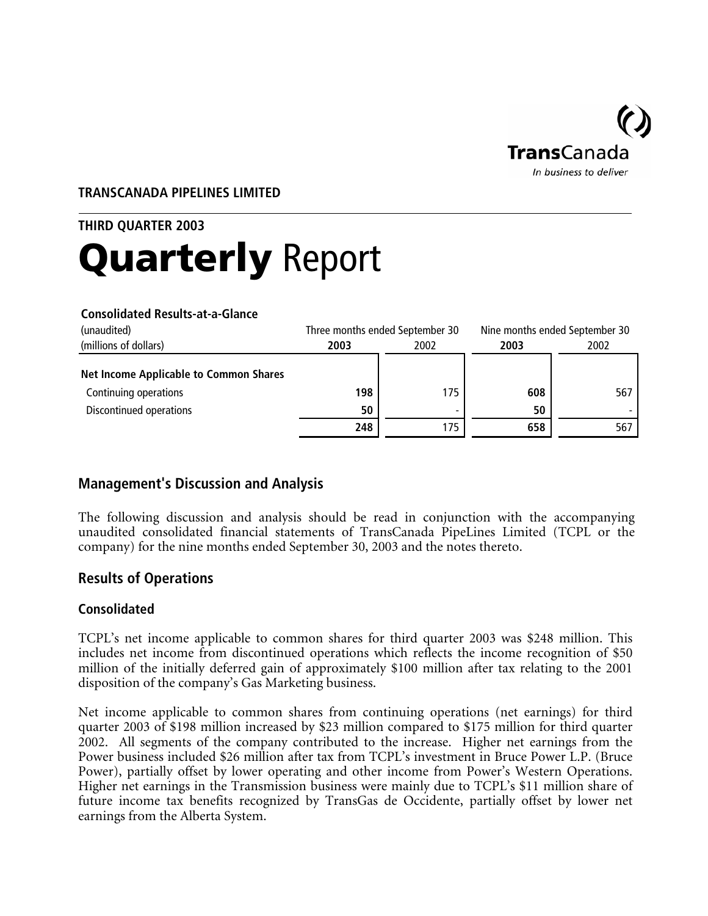

## **TRANSCANADA PIPELINES LIMITED**

# **THIRD QUARTER 2003**  Quarterly Report

#### **Consolidated Results-at-a-Glance**

| (unaudited)                                   |      | Three months ended September 30 |      | Nine months ended September 30 |
|-----------------------------------------------|------|---------------------------------|------|--------------------------------|
| (millions of dollars)                         | 2003 | 2002                            | 2003 | 2002                           |
| <b>Net Income Applicable to Common Shares</b> |      |                                 |      |                                |
| Continuing operations                         | 198  | 175                             | 608  | 567                            |
| Discontinued operations                       | 50   | -                               | 50   |                                |
|                                               | 248  | 175                             | 658  | 567                            |

# **Management's Discussion and Analysis**

The following discussion and analysis should be read in conjunction with the accompanying unaudited consolidated financial statements of TransCanada PipeLines Limited (TCPL or the company) for the nine months ended September 30, 2003 and the notes thereto.

# **Results of Operations**

## **Consolidated**

TCPL's net income applicable to common shares for third quarter 2003 was \$248 million. This includes net income from discontinued operations which reflects the income recognition of \$50 million of the initially deferred gain of approximately \$100 million after tax relating to the 2001 disposition of the company's Gas Marketing business.

Net income applicable to common shares from continuing operations (net earnings) for third quarter 2003 of \$198 million increased by \$23 million compared to \$175 million for third quarter 2002. All segments of the company contributed to the increase. Higher net earnings from the Power business included \$26 million after tax from TCPL's investment in Bruce Power L.P. (Bruce Power), partially offset by lower operating and other income from Power's Western Operations. Higher net earnings in the Transmission business were mainly due to TCPL's \$11 million share of future income tax benefits recognized by TransGas de Occidente, partially offset by lower net earnings from the Alberta System.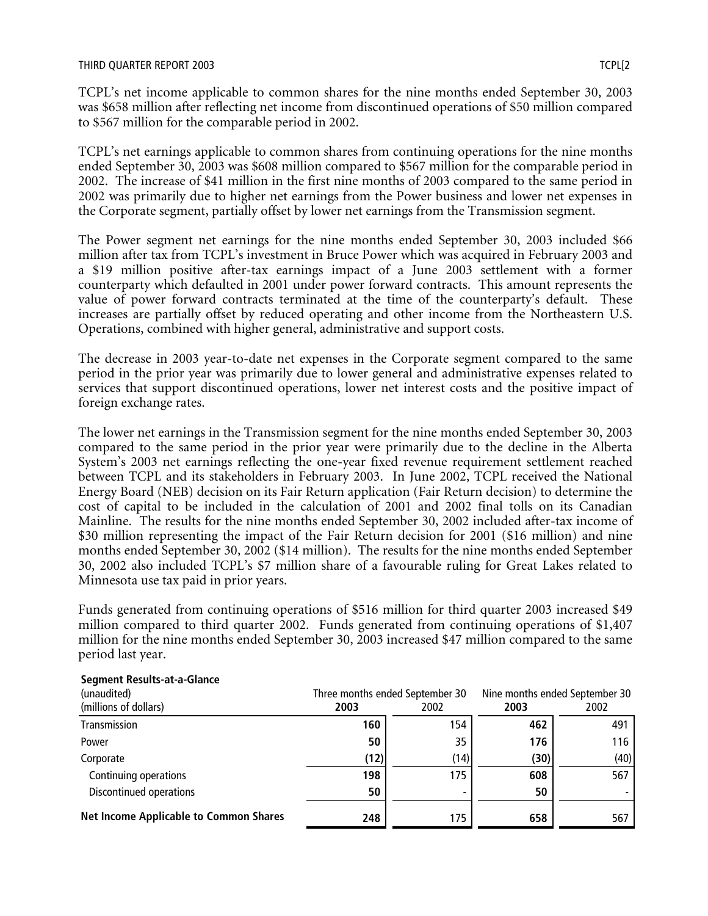TCPL's net income applicable to common shares for the nine months ended September 30, 2003 was \$658 million after reflecting net income from discontinued operations of \$50 million compared to \$567 million for the comparable period in 2002.

TCPL's net earnings applicable to common shares from continuing operations for the nine months ended September 30, 2003 was \$608 million compared to \$567 million for the comparable period in 2002. The increase of \$41 million in the first nine months of 2003 compared to the same period in 2002 was primarily due to higher net earnings from the Power business and lower net expenses in the Corporate segment, partially offset by lower net earnings from the Transmission segment.

The Power segment net earnings for the nine months ended September 30, 2003 included \$66 million after tax from TCPL's investment in Bruce Power which was acquired in February 2003 and a \$19 million positive after-tax earnings impact of a June 2003 settlement with a former counterparty which defaulted in 2001 under power forward contracts. This amount represents the value of power forward contracts terminated at the time of the counterparty's default. These increases are partially offset by reduced operating and other income from the Northeastern U.S. Operations, combined with higher general, administrative and support costs.

The decrease in 2003 year-to-date net expenses in the Corporate segment compared to the same period in the prior year was primarily due to lower general and administrative expenses related to services that support discontinued operations, lower net interest costs and the positive impact of foreign exchange rates.

The lower net earnings in the Transmission segment for the nine months ended September 30, 2003 compared to the same period in the prior year were primarily due to the decline in the Alberta System's 2003 net earnings reflecting the one-year fixed revenue requirement settlement reached between TCPL and its stakeholders in February 2003. In June 2002, TCPL received the National Energy Board (NEB) decision on its Fair Return application (Fair Return decision) to determine the cost of capital to be included in the calculation of 2001 and 2002 final tolls on its Canadian Mainline. The results for the nine months ended September 30, 2002 included after-tax income of \$30 million representing the impact of the Fair Return decision for 2001 (\$16 million) and nine months ended September 30, 2002 (\$14 million). The results for the nine months ended September 30, 2002 also included TCPL's \$7 million share of a favourable ruling for Great Lakes related to Minnesota use tax paid in prior years.

Funds generated from continuing operations of \$516 million for third quarter 2003 increased \$49 million compared to third quarter 2002. Funds generated from continuing operations of \$1,407 million for the nine months ended September 30, 2003 increased \$47 million compared to the same period last year.

| (unaudited)                                   | Three months ended September 30 |      | Nine months ended September 30 |      |
|-----------------------------------------------|---------------------------------|------|--------------------------------|------|
| (millions of dollars)                         | 2003                            | 2002 | 2003                           | 2002 |
| Transmission                                  | 160                             | 154  | 462                            | 491  |
| Power                                         | 50                              | 35   | 176                            | 116  |
| Corporate                                     | (12)                            | (14) | (30)                           | (40) |
| Continuing operations                         | 198                             | 175  | 608                            | 567  |
| Discontinued operations                       | 50                              |      | 50                             |      |
| <b>Net Income Applicable to Common Shares</b> | 248                             | 175  | 658                            | 567  |

#### **Segment Results-at-a-Glance**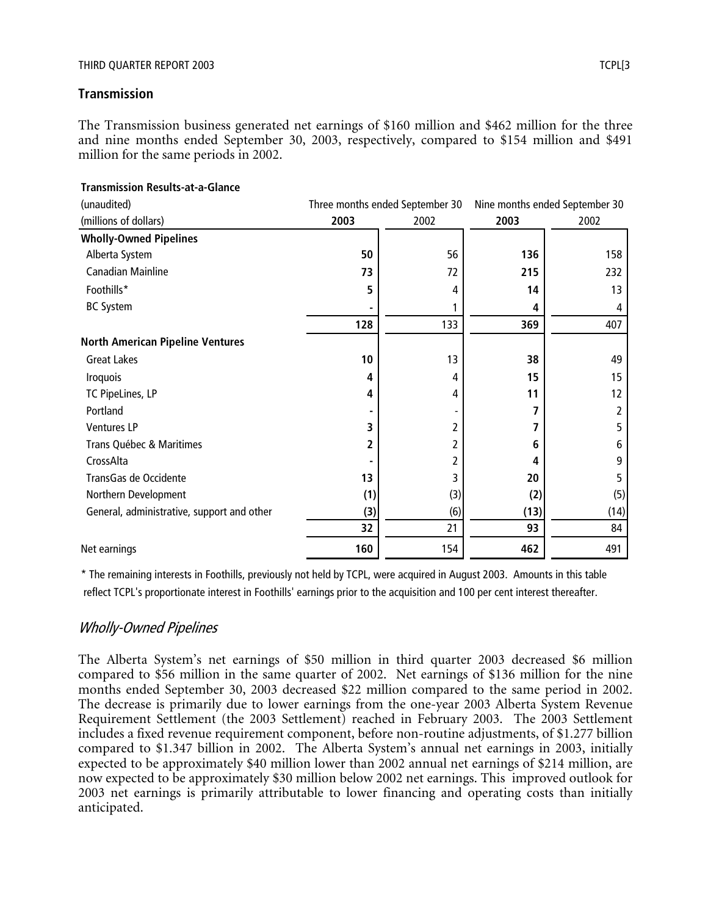## **Transmission**

The Transmission business generated net earnings of \$160 million and \$462 million for the three and nine months ended September 30, 2003, respectively, compared to \$154 million and \$491 million for the same periods in 2002.

| (unaudited)                                |      | Three months ended September 30 | Nine months ended September 30 |      |
|--------------------------------------------|------|---------------------------------|--------------------------------|------|
| (millions of dollars)                      | 2003 | 2002                            | 2003                           | 2002 |
| <b>Wholly-Owned Pipelines</b>              |      |                                 |                                |      |
| Alberta System                             | 50   | 56                              | 136                            | 158  |
| <b>Canadian Mainline</b>                   | 73   | 72                              | 215                            | 232  |
| Foothills*                                 | 5    | 4                               | 14                             | 13   |
| <b>BC System</b>                           |      |                                 | 4                              | 4    |
|                                            | 128  | 133                             | 369                            | 407  |
| <b>North American Pipeline Ventures</b>    |      |                                 |                                |      |
| <b>Great Lakes</b>                         | 10   | 13                              | 38                             | 49   |
| Iroquois                                   | 4    | 4                               | 15                             | 15   |
| TC PipeLines, LP                           | 4    | 4                               | 11                             | 12   |
| Portland                                   |      |                                 | 7                              | 2    |
| Ventures LP                                | 3    | 2                               | 7                              | 5    |
| Trans Québec & Maritimes                   | 2    |                                 | 6                              | 6    |
| CrossAlta                                  |      | 2                               | 4                              | 9    |
| TransGas de Occidente                      | 13   | 3                               | 20                             | 5    |
| Northern Development                       | (1)  | (3)                             | (2)                            | (5)  |
| General, administrative, support and other | (3)  | (6)                             | (13)                           | (14) |
|                                            | 32   | 21                              | 93                             | 84   |
| Net earnings                               | 160  | 154                             | 462                            | 491  |

## **Transmission Results-at-a-Glance**

\* The remaining interests in Foothills, previously not held by TCPL, were acquired in August 2003. Amounts in this table reflect TCPL's proportionate interest in Foothills' earnings prior to the acquisition and 100 per cent interest thereafter.

## Wholly-Owned Pipelines

The Alberta System's net earnings of \$50 million in third quarter 2003 decreased \$6 million compared to \$56 million in the same quarter of 2002. Net earnings of \$136 million for the nine months ended September 30, 2003 decreased \$22 million compared to the same period in 2002. The decrease is primarily due to lower earnings from the one-year 2003 Alberta System Revenue Requirement Settlement (the 2003 Settlement) reached in February 2003. The 2003 Settlement includes a fixed revenue requirement component, before non-routine adjustments, of \$1.277 billion compared to \$1.347 billion in 2002. The Alberta System's annual net earnings in 2003, initially expected to be approximately \$40 million lower than 2002 annual net earnings of \$214 million, are now expected to be approximately \$30 million below 2002 net earnings. This improved outlook for 2003 net earnings is primarily attributable to lower financing and operating costs than initially anticipated.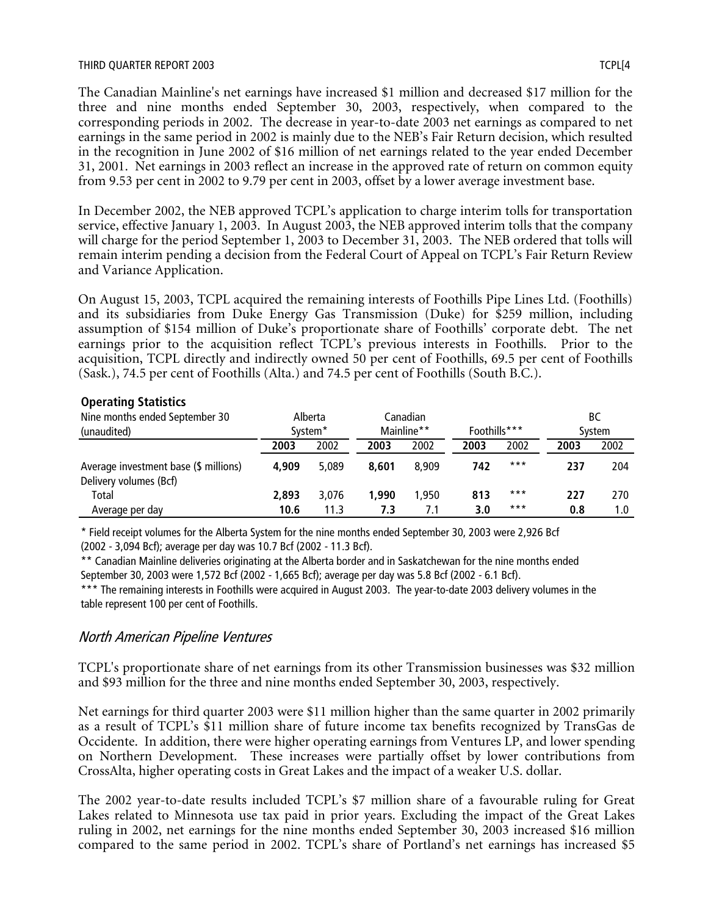#### THIRD QUARTER REPORT 2003 TCPL[4

The Canadian Mainline's net earnings have increased \$1 million and decreased \$17 million for the three and nine months ended September 30, 2003, respectively, when compared to the corresponding periods in 2002. The decrease in year-to-date 2003 net earnings as compared to net earnings in the same period in 2002 is mainly due to the NEB's Fair Return decision, which resulted in the recognition in June 2002 of \$16 million of net earnings related to the year ended December 31, 2001. Net earnings in 2003 reflect an increase in the approved rate of return on common equity from 9.53 per cent in 2002 to 9.79 per cent in 2003, offset by a lower average investment base.

In December 2002, the NEB approved TCPL's application to charge interim tolls for transportation service, effective January 1, 2003. In August 2003, the NEB approved interim tolls that the company will charge for the period September 1, 2003 to December 31, 2003. The NEB ordered that tolls will remain interim pending a decision from the Federal Court of Appeal on TCPL's Fair Return Review and Variance Application.

On August 15, 2003, TCPL acquired the remaining interests of Foothills Pipe Lines Ltd. (Foothills) and its subsidiaries from Duke Energy Gas Transmission (Duke) for \$259 million, including assumption of \$154 million of Duke's proportionate share of Foothills' corporate debt. The net earnings prior to the acquisition reflect TCPL's previous interests in Foothills. Prior to the acquisition, TCPL directly and indirectly owned 50 per cent of Foothills, 69.5 per cent of Foothills (Sask.), 74.5 per cent of Foothills (Alta.) and 74.5 per cent of Foothills (South B.C.).

## **Operating Statistics**

| Nine months ended September 30<br>(unaudited)                   |       | Alberta<br>System <sup>*</sup> |       | Canadian<br>Mainline** | Foothills*** |       |      | ВC<br>System |
|-----------------------------------------------------------------|-------|--------------------------------|-------|------------------------|--------------|-------|------|--------------|
|                                                                 |       |                                |       |                        |              |       |      |              |
|                                                                 | 2003  | 2002                           | 2003  | 2002                   | 2003         | 2002  | 2003 | 2002         |
| Average investment base (\$ millions)<br>Delivery volumes (Bcf) | 4.909 | 5.089                          | 8.601 | 8.909                  | 742          | $***$ | 237  | 204          |
| Total                                                           | 2,893 | 3,076                          | 1.990 | .950                   | 813          | $***$ | 227  | 270          |
| Average per day                                                 | 10.6  | 11.3                           | 7.3   | 7.1                    | 3.0          | $***$ | 0.8  | 1.0          |

\* Field receipt volumes for the Alberta System for the nine months ended September 30, 2003 were 2,926 Bcf (2002 - 3,094 Bcf); average per day was 10.7 Bcf (2002 - 11.3 Bcf).

\*\* Canadian Mainline deliveries originating at the Alberta border and in Saskatchewan for the nine months ended September 30, 2003 were 1,572 Bcf (2002 - 1,665 Bcf); average per day was 5.8 Bcf (2002 - 6.1 Bcf).

\*\*\* The remaining interests in Foothills were acquired in August 2003. The year-to-date 2003 delivery volumes in the table represent 100 per cent of Foothills.

## North American Pipeline Ventures

TCPL's proportionate share of net earnings from its other Transmission businesses was \$32 million and \$93 million for the three and nine months ended September 30, 2003, respectively.

Net earnings for third quarter 2003 were \$11 million higher than the same quarter in 2002 primarily as a result of TCPL's \$11 million share of future income tax benefits recognized by TransGas de Occidente. In addition, there were higher operating earnings from Ventures LP, and lower spending on Northern Development. These increases were partially offset by lower contributions from CrossAlta, higher operating costs in Great Lakes and the impact of a weaker U.S. dollar.

The 2002 year-to-date results included TCPL's \$7 million share of a favourable ruling for Great Lakes related to Minnesota use tax paid in prior years. Excluding the impact of the Great Lakes ruling in 2002, net earnings for the nine months ended September 30, 2003 increased \$16 million compared to the same period in 2002. TCPL's share of Portland's net earnings has increased \$5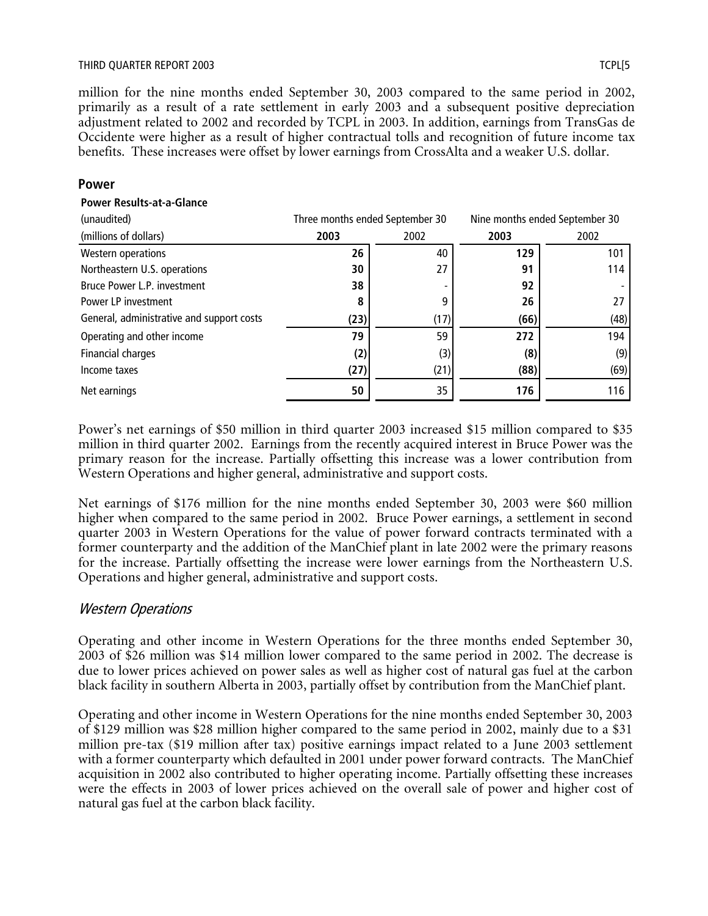#### THIRD QUARTER REPORT 2003 TCPL[5

million for the nine months ended September 30, 2003 compared to the same period in 2002, primarily as a result of a rate settlement in early 2003 and a subsequent positive depreciation adjustment related to 2002 and recorded by TCPL in 2003. In addition, earnings from TransGas de Occidente were higher as a result of higher contractual tolls and recognition of future income tax benefits. These increases were offset by lower earnings from CrossAlta and a weaker U.S. dollar.

#### **Power**

#### **Power Results-at-a-Glance**

| (unaudited)                               |      | Nine months ended September 30<br>Three months ended September 30 |      |      |
|-------------------------------------------|------|-------------------------------------------------------------------|------|------|
| (millions of dollars)                     | 2003 | 2002                                                              | 2003 | 2002 |
| <b>Western operations</b>                 | 26   | 40                                                                | 129  | 101  |
| Northeastern U.S. operations              | 30   | 27                                                                | 91   | 114  |
| Bruce Power L.P. investment               | 38   |                                                                   | 92   |      |
| Power LP investment                       | 8    | 9                                                                 | 26   | 27   |
| General, administrative and support costs | (23) | (17)                                                              | (66) | (48) |
| Operating and other income                | 79   | 59                                                                | 272  | 194  |
| Financial charges                         | (2)  | (3)                                                               | (8)  | (9)  |
| Income taxes                              | (27) | (21)                                                              | (88) | (69) |
| Net earnings                              | 50   | 35                                                                | 176  | 116  |

Power's net earnings of \$50 million in third quarter 2003 increased \$15 million compared to \$35 million in third quarter 2002. Earnings from the recently acquired interest in Bruce Power was the primary reason for the increase. Partially offsetting this increase was a lower contribution from Western Operations and higher general, administrative and support costs.

Net earnings of \$176 million for the nine months ended September 30, 2003 were \$60 million higher when compared to the same period in 2002. Bruce Power earnings, a settlement in second quarter 2003 in Western Operations for the value of power forward contracts terminated with a former counterparty and the addition of the ManChief plant in late 2002 were the primary reasons for the increase. Partially offsetting the increase were lower earnings from the Northeastern U.S. Operations and higher general, administrative and support costs.

## Western Operations

Operating and other income in Western Operations for the three months ended September 30, 2003 of \$26 million was \$14 million lower compared to the same period in 2002. The decrease is due to lower prices achieved on power sales as well as higher cost of natural gas fuel at the carbon black facility in southern Alberta in 2003, partially offset by contribution from the ManChief plant.

Operating and other income in Western Operations for the nine months ended September 30, 2003 of \$129 million was \$28 million higher compared to the same period in 2002, mainly due to a \$31 million pre-tax (\$19 million after tax) positive earnings impact related to a June 2003 settlement with a former counterparty which defaulted in 2001 under power forward contracts. The ManChief acquisition in 2002 also contributed to higher operating income. Partially offsetting these increases were the effects in 2003 of lower prices achieved on the overall sale of power and higher cost of natural gas fuel at the carbon black facility.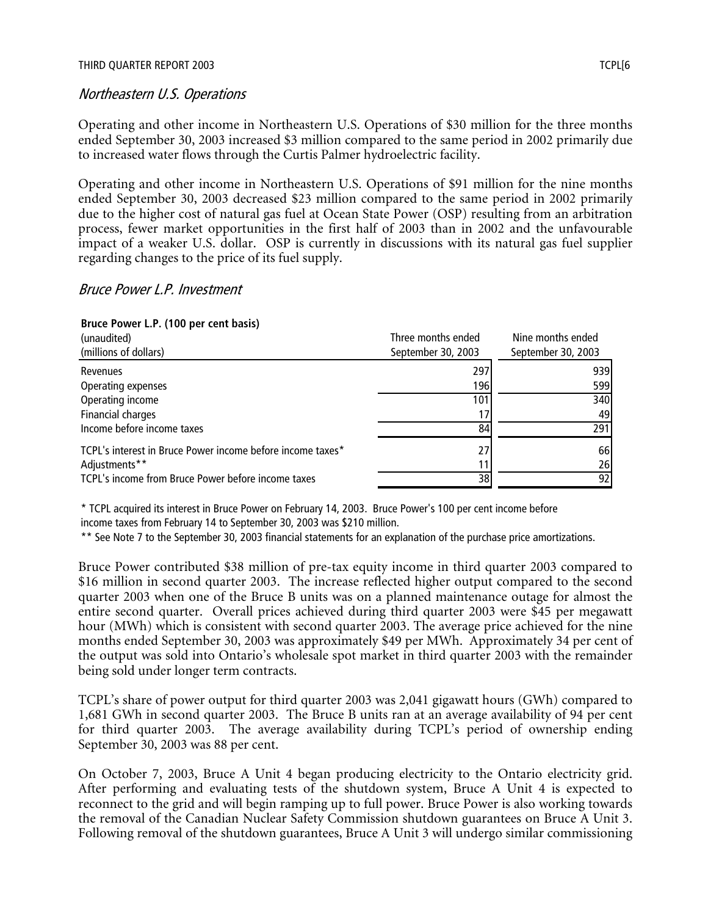## Northeastern U.S. Operations

Operating and other income in Northeastern U.S. Operations of \$30 million for the three months ended September 30, 2003 increased \$3 million compared to the same period in 2002 primarily due to increased water flows through the Curtis Palmer hydroelectric facility.

Operating and other income in Northeastern U.S. Operations of \$91 million for the nine months ended September 30, 2003 decreased \$23 million compared to the same period in 2002 primarily due to the higher cost of natural gas fuel at Ocean State Power (OSP) resulting from an arbitration process, fewer market opportunities in the first half of 2003 than in 2002 and the unfavourable impact of a weaker U.S. dollar. OSP is currently in discussions with its natural gas fuel supplier regarding changes to the price of its fuel supply.

## Bruce Power L.P. Investment

## **Bruce Power L.P. (100 per cent basis)**

| (unaudited)                                                | Three months ended | Nine months ended  |
|------------------------------------------------------------|--------------------|--------------------|
| (millions of dollars)                                      | September 30, 2003 | September 30, 2003 |
| Revenues                                                   | 297                | 939                |
| Operating expenses                                         | 196                | 599                |
| Operating income                                           | 101                | 340                |
| Financial charges                                          |                    | 49                 |
| Income before income taxes                                 | 84                 | 291                |
| TCPL's interest in Bruce Power income before income taxes* | 27                 | 66                 |
| Adjustments**                                              |                    | 26                 |
| TCPL's income from Bruce Power before income taxes         | 38                 | 92                 |

\* TCPL acquired its interest in Bruce Power on February 14, 2003. Bruce Power's 100 per cent income before income taxes from February 14 to September 30, 2003 was \$210 million.

\*\* See Note 7 to the September 30, 2003 financial statements for an explanation of the purchase price amortizations.

Bruce Power contributed \$38 million of pre-tax equity income in third quarter 2003 compared to \$16 million in second quarter 2003. The increase reflected higher output compared to the second quarter 2003 when one of the Bruce B units was on a planned maintenance outage for almost the entire second quarter. Overall prices achieved during third quarter 2003 were \$45 per megawatt hour (MWh) which is consistent with second quarter 2003. The average price achieved for the nine months ended September 30, 2003 was approximately \$49 per MWh. Approximately 34 per cent of the output was sold into Ontario's wholesale spot market in third quarter 2003 with the remainder being sold under longer term contracts.

TCPL's share of power output for third quarter 2003 was 2,041 gigawatt hours (GWh) compared to 1,681 GWh in second quarter 2003. The Bruce B units ran at an average availability of 94 per cent for third quarter 2003. The average availability during TCPL's period of ownership ending September 30, 2003 was 88 per cent.

On October 7, 2003, Bruce A Unit 4 began producing electricity to the Ontario electricity grid. After performing and evaluating tests of the shutdown system, Bruce A Unit 4 is expected to reconnect to the grid and will begin ramping up to full power. Bruce Power is also working towards the removal of the Canadian Nuclear Safety Commission shutdown guarantees on Bruce A Unit 3. Following removal of the shutdown guarantees, Bruce A Unit 3 will undergo similar commissioning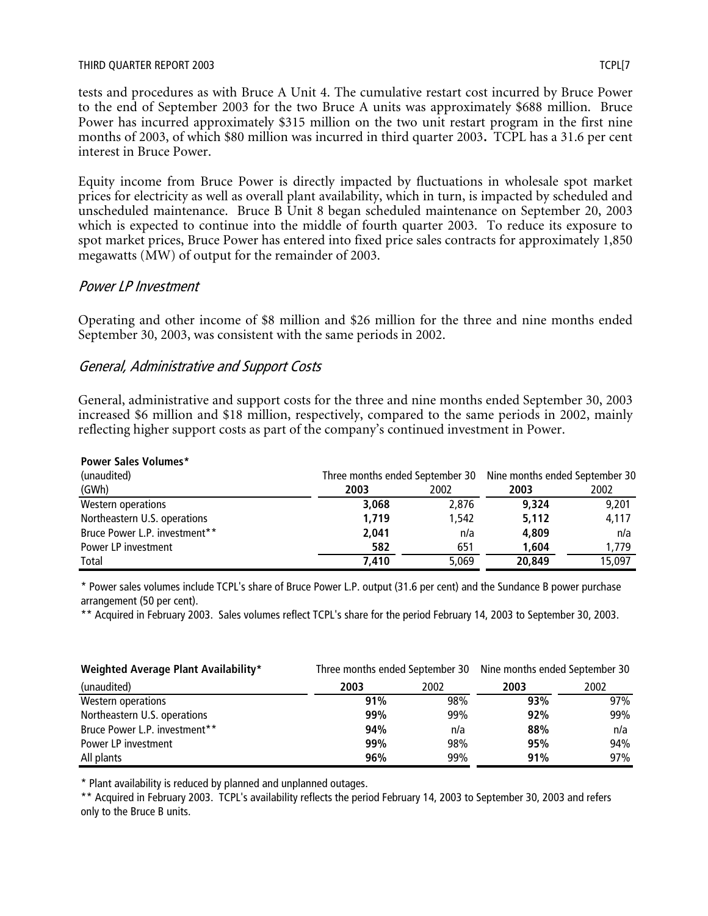#### THIRD QUARTER REPORT 2003 TCPL[7

tests and procedures as with Bruce A Unit 4. The cumulative restart cost incurred by Bruce Power to the end of September 2003 for the two Bruce A units was approximately \$688 million. Bruce Power has incurred approximately \$315 million on the two unit restart program in the first nine months of 2003, of which \$80 million was incurred in third quarter 2003*.* TCPL has a 31.6 per cent interest in Bruce Power.

Equity income from Bruce Power is directly impacted by fluctuations in wholesale spot market prices for electricity as well as overall plant availability, which in turn, is impacted by scheduled and unscheduled maintenance. Bruce B Unit 8 began scheduled maintenance on September 20, 2003 which is expected to continue into the middle of fourth quarter 2003. To reduce its exposure to spot market prices, Bruce Power has entered into fixed price sales contracts for approximately 1,850 megawatts (MW) of output for the remainder of 2003.

## Power LP Investment

Operating and other income of \$8 million and \$26 million for the three and nine months ended September 30, 2003, was consistent with the same periods in 2002.

## General, Administrative and Support Costs

General, administrative and support costs for the three and nine months ended September 30, 2003 increased \$6 million and \$18 million, respectively, compared to the same periods in 2002, mainly reflecting higher support costs as part of the company's continued investment in Power.

| <b>Power Sales Volumes*</b>   |       |       |                                                                |        |
|-------------------------------|-------|-------|----------------------------------------------------------------|--------|
| (unaudited)                   |       |       | Three months ended September 30 Nine months ended September 30 |        |
| (GWh)                         | 2003  | 2002  | 2003                                                           | 2002   |
| Western operations            | 3,068 | 2.876 | 9.324                                                          | 9,201  |
| Northeastern U.S. operations  | 1.719 | 1.542 | 5,112                                                          | 4,117  |
| Bruce Power L.P. investment** | 2,041 | n/a   | 4.809                                                          | n/a    |
| Power LP investment           | 582   | 651   | 1,604                                                          | 1,779  |
| Total                         | 7.410 | 5.069 | 20,849                                                         | 15,097 |

# \* Power sales volumes include TCPL's share of Bruce Power L.P. output (31.6 per cent) and the Sundance B power purchase arrangement (50 per cent).

\*\* Acquired in February 2003. Sales volumes reflect TCPL's share for the period February 14, 2003 to September 30, 2003.

| Weighted Average Plant Availability* | Three months ended September 30 Nine months ended September 30 |      |      |      |
|--------------------------------------|----------------------------------------------------------------|------|------|------|
| (unaudited)                          | 2003                                                           | 2002 | 2003 | 2002 |
| Western operations                   | 91%                                                            | 98%  | 93%  | 97%  |
| Northeastern U.S. operations         | 99%                                                            | 99%  | 92%  | 99%  |
| Bruce Power L.P. investment**        | 94%                                                            | n/a  | 88%  | n/a  |
| Power LP investment                  | 99%                                                            | 98%  | 95%  | 94%  |
| All plants                           | 96%                                                            | 99%  | 91%  | 97%  |

\* Plant availability is reduced by planned and unplanned outages.

\*\* Acquired in February 2003. TCPL's availability reflects the period February 14, 2003 to September 30, 2003 and refers only to the Bruce B units.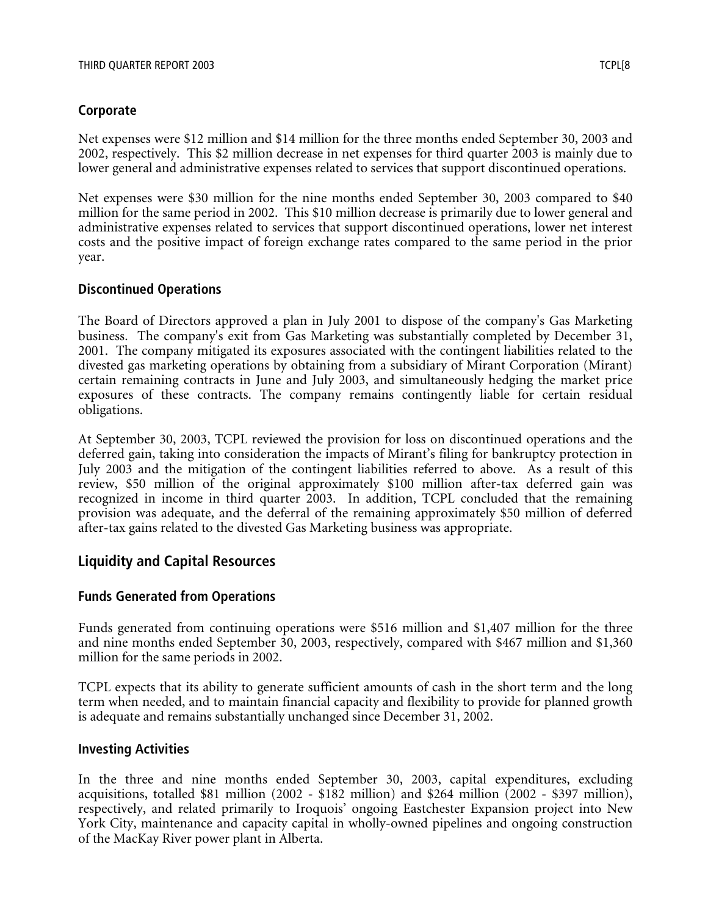## **Corporate**

Net expenses were \$12 million and \$14 million for the three months ended September 30, 2003 and 2002, respectively. This \$2 million decrease in net expenses for third quarter 2003 is mainly due to lower general and administrative expenses related to services that support discontinued operations.

Net expenses were \$30 million for the nine months ended September 30, 2003 compared to \$40 million for the same period in 2002. This \$10 million decrease is primarily due to lower general and administrative expenses related to services that support discontinued operations, lower net interest costs and the positive impact of foreign exchange rates compared to the same period in the prior year.

## **Discontinued Operations**

The Board of Directors approved a plan in July 2001 to dispose of the company's Gas Marketing business. The company's exit from Gas Marketing was substantially completed by December 31, 2001. The company mitigated its exposures associated with the contingent liabilities related to the divested gas marketing operations by obtaining from a subsidiary of Mirant Corporation (Mirant) certain remaining contracts in June and July 2003, and simultaneously hedging the market price exposures of these contracts. The company remains contingently liable for certain residual obligations.

At September 30, 2003, TCPL reviewed the provision for loss on discontinued operations and the deferred gain, taking into consideration the impacts of Mirant's filing for bankruptcy protection in July 2003 and the mitigation of the contingent liabilities referred to above. As a result of this review, \$50 million of the original approximately \$100 million after-tax deferred gain was recognized in income in third quarter 2003. In addition, TCPL concluded that the remaining provision was adequate, and the deferral of the remaining approximately \$50 million of deferred after-tax gains related to the divested Gas Marketing business was appropriate.

## **Liquidity and Capital Resources**

## **Funds Generated from Operations**

Funds generated from continuing operations were \$516 million and \$1,407 million for the three and nine months ended September 30, 2003, respectively, compared with \$467 million and \$1,360 million for the same periods in 2002.

TCPL expects that its ability to generate sufficient amounts of cash in the short term and the long term when needed, and to maintain financial capacity and flexibility to provide for planned growth is adequate and remains substantially unchanged since December 31, 2002.

## **Investing Activities**

In the three and nine months ended September 30, 2003, capital expenditures, excluding acquisitions, totalled \$81 million (2002 - \$182 million) and \$264 million (2002 - \$397 million), respectively, and related primarily to Iroquois' ongoing Eastchester Expansion project into New York City, maintenance and capacity capital in wholly-owned pipelines and ongoing construction of the MacKay River power plant in Alberta.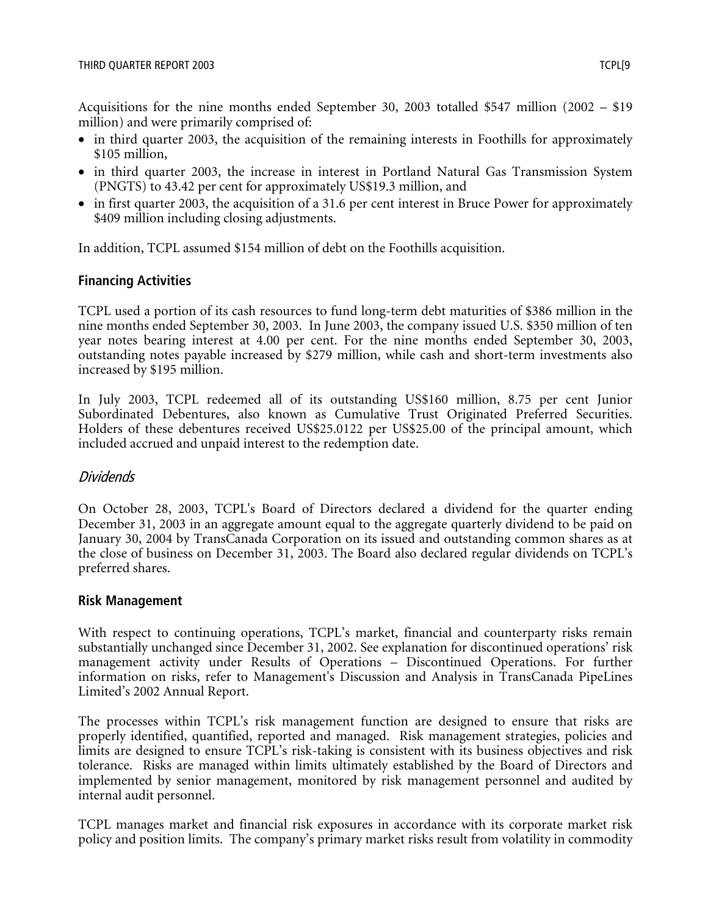Acquisitions for the nine months ended September 30, 2003 totalled \$547 million (2002 – \$19 million) and were primarily comprised of:

- in third quarter 2003, the acquisition of the remaining interests in Foothills for approximately \$105 million,
- in third quarter 2003, the increase in interest in Portland Natural Gas Transmission System (PNGTS) to 43.42 per cent for approximately US\$19.3 million, and
- in first quarter 2003, the acquisition of a 31.6 per cent interest in Bruce Power for approximately \$409 million including closing adjustments.

In addition, TCPL assumed \$154 million of debt on the Foothills acquisition.

## **Financing Activities**

TCPL used a portion of its cash resources to fund long-term debt maturities of \$386 million in the nine months ended September 30, 2003. In June 2003, the company issued U.S. \$350 million of ten year notes bearing interest at 4.00 per cent. For the nine months ended September 30, 2003, outstanding notes payable increased by \$279 million, while cash and short-term investments also increased by \$195 million.

In July 2003, TCPL redeemed all of its outstanding US\$160 million, 8.75 per cent Junior Subordinated Debentures, also known as Cumulative Trust Originated Preferred Securities. Holders of these debentures received US\$25.0122 per US\$25.00 of the principal amount, which included accrued and unpaid interest to the redemption date.

## Dividends

On October 28, 2003, TCPL's Board of Directors declared a dividend for the quarter ending December 31, 2003 in an aggregate amount equal to the aggregate quarterly dividend to be paid on January 30, 2004 by TransCanada Corporation on its issued and outstanding common shares as at the close of business on December 31, 2003. The Board also declared regular dividends on TCPL's preferred shares.

## **Risk Management**

With respect to continuing operations, TCPL's market, financial and counterparty risks remain substantially unchanged since December 31, 2002. See explanation for discontinued operations' risk management activity under Results of Operations – Discontinued Operations. For further information on risks, refer to Management's Discussion and Analysis in TransCanada PipeLines Limited's 2002 Annual Report.

The processes within TCPL's risk management function are designed to ensure that risks are properly identified, quantified, reported and managed. Risk management strategies, policies and limits are designed to ensure TCPL's risk-taking is consistent with its business objectives and risk tolerance. Risks are managed within limits ultimately established by the Board of Directors and implemented by senior management, monitored by risk management personnel and audited by internal audit personnel.

TCPL manages market and financial risk exposures in accordance with its corporate market risk policy and position limits. The company's primary market risks result from volatility in commodity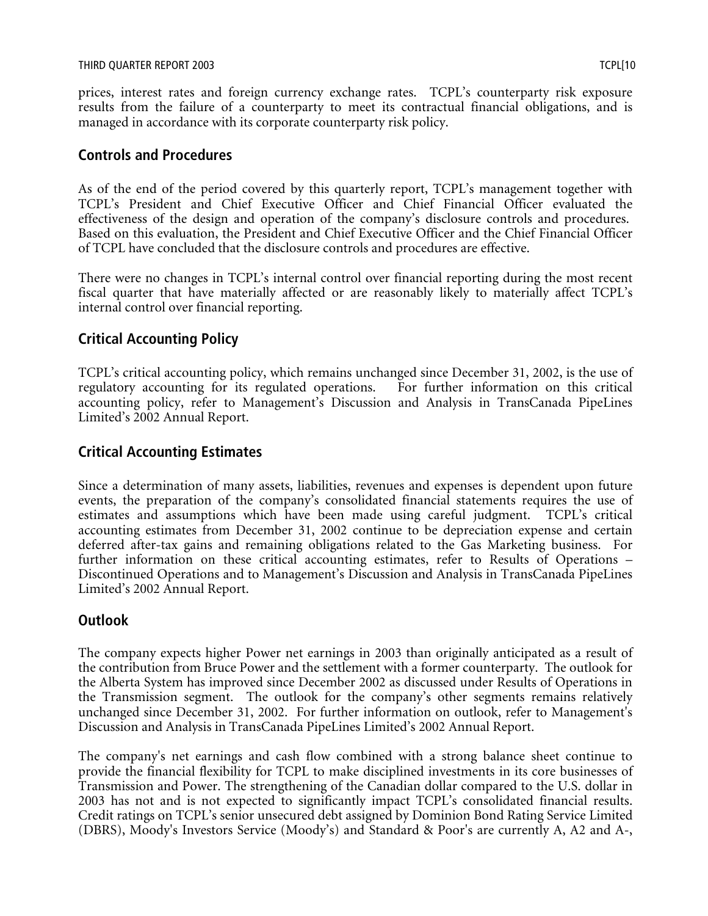prices, interest rates and foreign currency exchange rates. TCPL's counterparty risk exposure results from the failure of a counterparty to meet its contractual financial obligations, and is managed in accordance with its corporate counterparty risk policy.

## **Controls and Procedures**

As of the end of the period covered by this quarterly report, TCPL's management together with TCPL's President and Chief Executive Officer and Chief Financial Officer evaluated the effectiveness of the design and operation of the company's disclosure controls and procedures. Based on this evaluation, the President and Chief Executive Officer and the Chief Financial Officer of TCPL have concluded that the disclosure controls and procedures are effective.

There were no changes in TCPL's internal control over financial reporting during the most recent fiscal quarter that have materially affected or are reasonably likely to materially affect TCPL's internal control over financial reporting.

# **Critical Accounting Policy**

TCPL's critical accounting policy, which remains unchanged since December 31, 2002, is the use of regulatory accounting for its regulated operations. For further information on this critical accounting policy, refer to Management's Discussion and Analysis in TransCanada PipeLines Limited's 2002 Annual Report.

# **Critical Accounting Estimates**

Since a determination of many assets, liabilities, revenues and expenses is dependent upon future events, the preparation of the company's consolidated financial statements requires the use of estimates and assumptions which have been made using careful judgment. TCPL's critical accounting estimates from December 31, 2002 continue to be depreciation expense and certain deferred after-tax gains and remaining obligations related to the Gas Marketing business. For further information on these critical accounting estimates, refer to Results of Operations – Discontinued Operations and to Management's Discussion and Analysis in TransCanada PipeLines Limited's 2002 Annual Report.

# **Outlook**

The company expects higher Power net earnings in 2003 than originally anticipated as a result of the contribution from Bruce Power and the settlement with a former counterparty. The outlook for the Alberta System has improved since December 2002 as discussed under Results of Operations in the Transmission segment. The outlook for the company's other segments remains relatively unchanged since December 31, 2002. For further information on outlook, refer to Management's Discussion and Analysis in TransCanada PipeLines Limited's 2002 Annual Report.

The company's net earnings and cash flow combined with a strong balance sheet continue to provide the financial flexibility for TCPL to make disciplined investments in its core businesses of Transmission and Power. The strengthening of the Canadian dollar compared to the U.S. dollar in 2003 has not and is not expected to significantly impact TCPL's consolidated financial results. Credit ratings on TCPL's senior unsecured debt assigned by Dominion Bond Rating Service Limited (DBRS), Moody's Investors Service (Moody's) and Standard & Poor's are currently A, A2 and A-,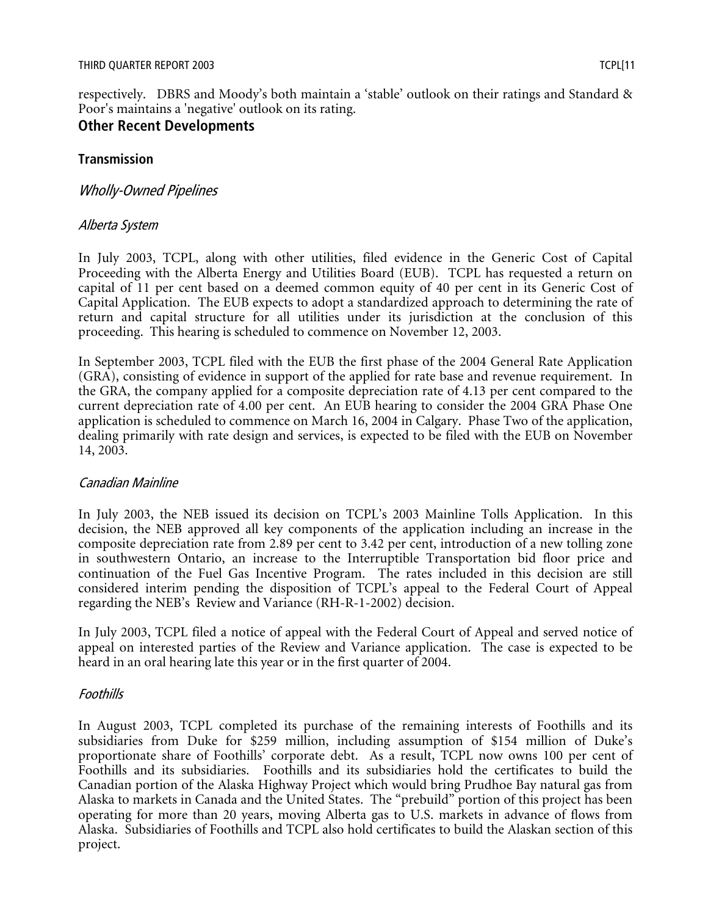respectively. DBRS and Moody's both maintain a 'stable' outlook on their ratings and Standard & Poor's maintains a 'negative' outlook on its rating.

# **Other Recent Developments**

## **Transmission**

## Wholly-Owned Pipelines

## Alberta System

In July 2003, TCPL, along with other utilities, filed evidence in the Generic Cost of Capital Proceeding with the Alberta Energy and Utilities Board (EUB). TCPL has requested a return on capital of 11 per cent based on a deemed common equity of 40 per cent in its Generic Cost of Capital Application. The EUB expects to adopt a standardized approach to determining the rate of return and capital structure for all utilities under its jurisdiction at the conclusion of this proceeding. This hearing is scheduled to commence on November 12, 2003.

In September 2003, TCPL filed with the EUB the first phase of the 2004 General Rate Application (GRA), consisting of evidence in support of the applied for rate base and revenue requirement. In the GRA, the company applied for a composite depreciation rate of 4.13 per cent compared to the current depreciation rate of 4.00 per cent. An EUB hearing to consider the 2004 GRA Phase One application is scheduled to commence on March 16, 2004 in Calgary. Phase Two of the application, dealing primarily with rate design and services, is expected to be filed with the EUB on November 14, 2003.

## Canadian Mainline

In July 2003, the NEB issued its decision on TCPL's 2003 Mainline Tolls Application. In this decision, the NEB approved all key components of the application including an increase in the composite depreciation rate from 2.89 per cent to 3.42 per cent, introduction of a new tolling zone in southwestern Ontario, an increase to the Interruptible Transportation bid floor price and continuation of the Fuel Gas Incentive Program. The rates included in this decision are still considered interim pending the disposition of TCPL's appeal to the Federal Court of Appeal regarding the NEB's Review and Variance (RH-R-1-2002) decision.

In July 2003, TCPL filed a notice of appeal with the Federal Court of Appeal and served notice of appeal on interested parties of the Review and Variance application. The case is expected to be heard in an oral hearing late this year or in the first quarter of 2004.

## Foothills

In August 2003, TCPL completed its purchase of the remaining interests of Foothills and its subsidiaries from Duke for \$259 million, including assumption of \$154 million of Duke's proportionate share of Foothills' corporate debt. As a result, TCPL now owns 100 per cent of Foothills and its subsidiaries. Foothills and its subsidiaries hold the certificates to build the Canadian portion of the Alaska Highway Project which would bring Prudhoe Bay natural gas from Alaska to markets in Canada and the United States. The "prebuild" portion of this project has been operating for more than 20 years, moving Alberta gas to U.S. markets in advance of flows from Alaska. Subsidiaries of Foothills and TCPL also hold certificates to build the Alaskan section of this project.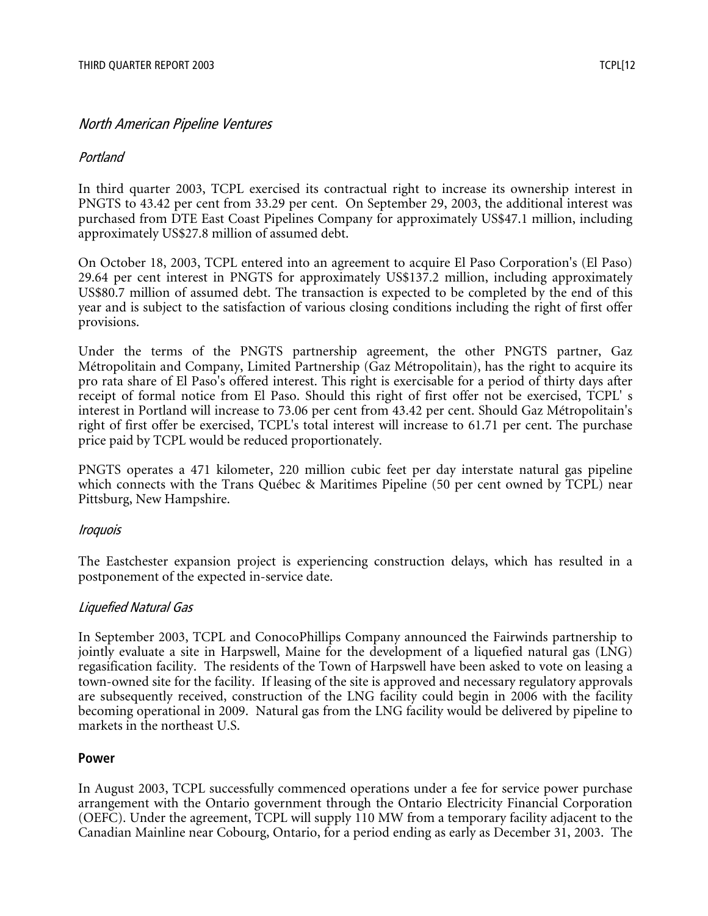## North American Pipeline Ventures

#### Portland

In third quarter 2003, TCPL exercised its contractual right to increase its ownership interest in PNGTS to 43.42 per cent from 33.29 per cent. On September 29, 2003, the additional interest was purchased from DTE East Coast Pipelines Company for approximately US\$47.1 million, including approximately US\$27.8 million of assumed debt.

On October 18, 2003, TCPL entered into an agreement to acquire El Paso Corporation's (El Paso) 29.64 per cent interest in PNGTS for approximately US\$137.2 million, including approximately US\$80.7 million of assumed debt. The transaction is expected to be completed by the end of this year and is subject to the satisfaction of various closing conditions including the right of first offer provisions.

Under the terms of the PNGTS partnership agreement, the other PNGTS partner, Gaz Métropolitain and Company, Limited Partnership (Gaz Métropolitain), has the right to acquire its pro rata share of El Paso's offered interest. This right is exercisable for a period of thirty days after receipt of formal notice from El Paso. Should this right of first offer not be exercised, TCPL' s interest in Portland will increase to 73.06 per cent from 43.42 per cent. Should Gaz Métropolitain's right of first offer be exercised, TCPL's total interest will increase to 61.71 per cent. The purchase price paid by TCPL would be reduced proportionately.

PNGTS operates a 471 kilometer, 220 million cubic feet per day interstate natural gas pipeline which connects with the Trans Québec & Maritimes Pipeline (50 per cent owned by TCPL) near Pittsburg, New Hampshire.

#### Iroquois

The Eastchester expansion project is experiencing construction delays, which has resulted in a postponement of the expected in-service date.

## Liquefied Natural Gas

In September 2003, TCPL and ConocoPhillips Company announced the Fairwinds partnership to jointly evaluate a site in Harpswell, Maine for the development of a liquefied natural gas (LNG) regasification facility. The residents of the Town of Harpswell have been asked to vote on leasing a town-owned site for the facility. If leasing of the site is approved and necessary regulatory approvals are subsequently received, construction of the LNG facility could begin in 2006 with the facility becoming operational in 2009. Natural gas from the LNG facility would be delivered by pipeline to markets in the northeast U.S.

#### **Power**

In August 2003, TCPL successfully commenced operations under a fee for service power purchase arrangement with the Ontario government through the Ontario Electricity Financial Corporation (OEFC). Under the agreement, TCPL will supply 110 MW from a temporary facility adjacent to the Canadian Mainline near Cobourg, Ontario, for a period ending as early as December 31, 2003. The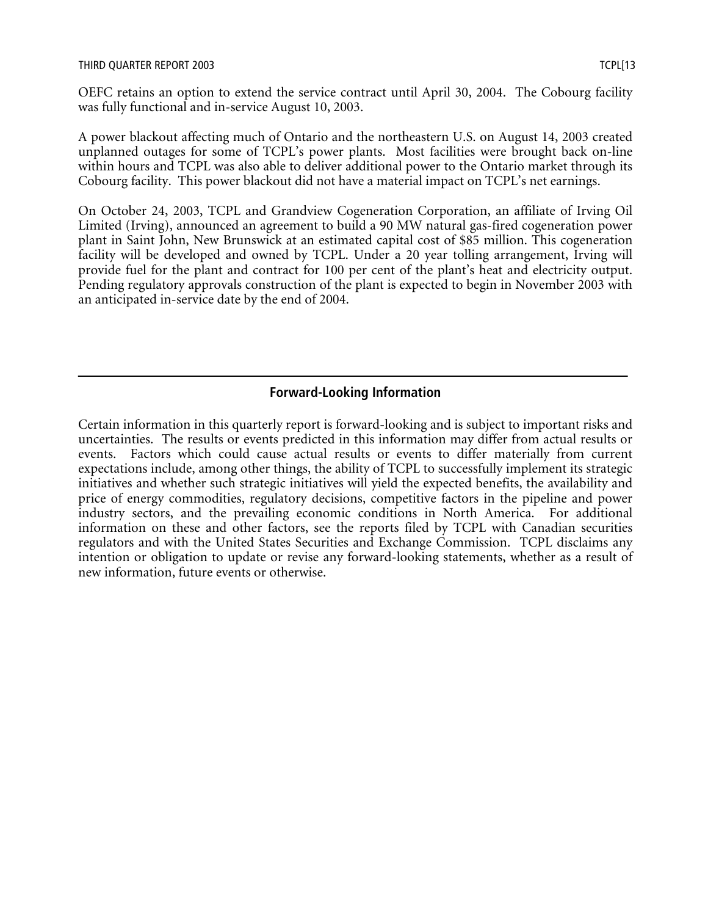OEFC retains an option to extend the service contract until April 30, 2004. The Cobourg facility was fully functional and in-service August 10, 2003.

A power blackout affecting much of Ontario and the northeastern U.S. on August 14, 2003 created unplanned outages for some of TCPL's power plants. Most facilities were brought back on-line within hours and TCPL was also able to deliver additional power to the Ontario market through its Cobourg facility. This power blackout did not have a material impact on TCPL's net earnings.

On October 24, 2003, TCPL and Grandview Cogeneration Corporation, an affiliate of Irving Oil Limited (Irving), announced an agreement to build a 90 MW natural gas-fired cogeneration power plant in Saint John, New Brunswick at an estimated capital cost of \$85 million. This cogeneration facility will be developed and owned by TCPL. Under a 20 year tolling arrangement, Irving will provide fuel for the plant and contract for 100 per cent of the plant's heat and electricity output. Pending regulatory approvals construction of the plant is expected to begin in November 2003 with an anticipated in-service date by the end of 2004.

# **Forward-Looking Information**

Certain information in this quarterly report is forward-looking and is subject to important risks and uncertainties. The results or events predicted in this information may differ from actual results or events. Factors which could cause actual results or events to differ materially from current expectations include, among other things, the ability of TCPL to successfully implement its strategic initiatives and whether such strategic initiatives will yield the expected benefits, the availability and price of energy commodities, regulatory decisions, competitive factors in the pipeline and power industry sectors, and the prevailing economic conditions in North America. For additional information on these and other factors, see the reports filed by TCPL with Canadian securities regulators and with the United States Securities and Exchange Commission. TCPL disclaims any intention or obligation to update or revise any forward-looking statements, whether as a result of new information, future events or otherwise.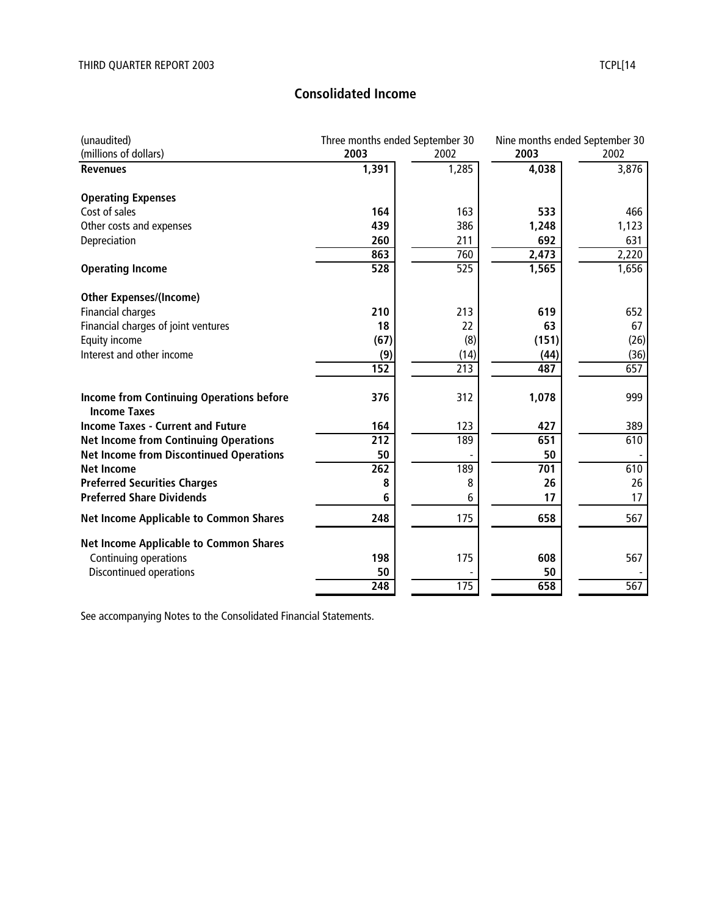# **Consolidated Income**

| (millions of dollars)<br>2003<br>2003<br>2002<br>2002<br>4,038<br>1,391<br>1,285<br><b>Revenues</b><br><b>Operating Expenses</b><br>Cost of sales<br>163<br>533<br>164<br>439<br>386<br>Other costs and expenses<br>1,248<br>692<br>260<br>211<br>Depreciation<br>863<br>2,473<br>760<br>528<br>525<br>1,565<br><b>Operating Income</b><br><b>Other Expenses/(Income)</b><br>210<br><b>Financial charges</b><br>213<br>619<br>18<br>63<br>Financial charges of joint ventures<br>22<br>(67)<br>(8)<br>Equity income<br>(151)<br>Interest and other income<br>(14)<br>(9)<br>(44)<br>152<br>213<br>487<br>312<br><b>Income from Continuing Operations before</b><br>376<br>1,078<br><b>Income Taxes</b><br><b>Income Taxes - Current and Future</b><br>427<br>164<br>123<br>212<br>189<br>651<br><b>Net Income from Continuing Operations</b><br><b>Net Income from Discontinued Operations</b><br>50<br>50<br>262<br>189<br>701<br><b>Net Income</b><br><b>Preferred Securities Charges</b><br>8<br>8<br>26 | (unaudited)                      | Three months ended September 30 |   | Nine months ended September 30 |       |
|-------------------------------------------------------------------------------------------------------------------------------------------------------------------------------------------------------------------------------------------------------------------------------------------------------------------------------------------------------------------------------------------------------------------------------------------------------------------------------------------------------------------------------------------------------------------------------------------------------------------------------------------------------------------------------------------------------------------------------------------------------------------------------------------------------------------------------------------------------------------------------------------------------------------------------------------------------------------------------------------------------------|----------------------------------|---------------------------------|---|--------------------------------|-------|
|                                                                                                                                                                                                                                                                                                                                                                                                                                                                                                                                                                                                                                                                                                                                                                                                                                                                                                                                                                                                             |                                  |                                 |   |                                |       |
|                                                                                                                                                                                                                                                                                                                                                                                                                                                                                                                                                                                                                                                                                                                                                                                                                                                                                                                                                                                                             |                                  |                                 |   |                                | 3,876 |
|                                                                                                                                                                                                                                                                                                                                                                                                                                                                                                                                                                                                                                                                                                                                                                                                                                                                                                                                                                                                             |                                  |                                 |   |                                |       |
|                                                                                                                                                                                                                                                                                                                                                                                                                                                                                                                                                                                                                                                                                                                                                                                                                                                                                                                                                                                                             |                                  |                                 |   |                                | 466   |
|                                                                                                                                                                                                                                                                                                                                                                                                                                                                                                                                                                                                                                                                                                                                                                                                                                                                                                                                                                                                             |                                  |                                 |   |                                | 1,123 |
|                                                                                                                                                                                                                                                                                                                                                                                                                                                                                                                                                                                                                                                                                                                                                                                                                                                                                                                                                                                                             |                                  |                                 |   |                                | 631   |
|                                                                                                                                                                                                                                                                                                                                                                                                                                                                                                                                                                                                                                                                                                                                                                                                                                                                                                                                                                                                             |                                  |                                 |   |                                | 2,220 |
|                                                                                                                                                                                                                                                                                                                                                                                                                                                                                                                                                                                                                                                                                                                                                                                                                                                                                                                                                                                                             |                                  |                                 |   |                                | 1,656 |
|                                                                                                                                                                                                                                                                                                                                                                                                                                                                                                                                                                                                                                                                                                                                                                                                                                                                                                                                                                                                             |                                  |                                 |   |                                |       |
|                                                                                                                                                                                                                                                                                                                                                                                                                                                                                                                                                                                                                                                                                                                                                                                                                                                                                                                                                                                                             |                                  |                                 |   |                                | 652   |
|                                                                                                                                                                                                                                                                                                                                                                                                                                                                                                                                                                                                                                                                                                                                                                                                                                                                                                                                                                                                             |                                  |                                 |   |                                | 67    |
|                                                                                                                                                                                                                                                                                                                                                                                                                                                                                                                                                                                                                                                                                                                                                                                                                                                                                                                                                                                                             |                                  |                                 |   |                                | (26)  |
|                                                                                                                                                                                                                                                                                                                                                                                                                                                                                                                                                                                                                                                                                                                                                                                                                                                                                                                                                                                                             |                                  |                                 |   |                                | (36)  |
|                                                                                                                                                                                                                                                                                                                                                                                                                                                                                                                                                                                                                                                                                                                                                                                                                                                                                                                                                                                                             |                                  |                                 |   |                                | 657   |
|                                                                                                                                                                                                                                                                                                                                                                                                                                                                                                                                                                                                                                                                                                                                                                                                                                                                                                                                                                                                             |                                  |                                 |   |                                | 999   |
|                                                                                                                                                                                                                                                                                                                                                                                                                                                                                                                                                                                                                                                                                                                                                                                                                                                                                                                                                                                                             |                                  |                                 |   |                                | 389   |
|                                                                                                                                                                                                                                                                                                                                                                                                                                                                                                                                                                                                                                                                                                                                                                                                                                                                                                                                                                                                             |                                  |                                 |   |                                | 610   |
|                                                                                                                                                                                                                                                                                                                                                                                                                                                                                                                                                                                                                                                                                                                                                                                                                                                                                                                                                                                                             |                                  |                                 |   |                                |       |
|                                                                                                                                                                                                                                                                                                                                                                                                                                                                                                                                                                                                                                                                                                                                                                                                                                                                                                                                                                                                             |                                  |                                 |   |                                | 610   |
|                                                                                                                                                                                                                                                                                                                                                                                                                                                                                                                                                                                                                                                                                                                                                                                                                                                                                                                                                                                                             |                                  |                                 |   |                                | 26    |
| 6                                                                                                                                                                                                                                                                                                                                                                                                                                                                                                                                                                                                                                                                                                                                                                                                                                                                                                                                                                                                           | <b>Preferred Share Dividends</b> |                                 | 6 | 17                             | 17    |
| 248<br>175<br>658<br><b>Net Income Applicable to Common Shares</b>                                                                                                                                                                                                                                                                                                                                                                                                                                                                                                                                                                                                                                                                                                                                                                                                                                                                                                                                          |                                  |                                 |   |                                | 567   |
| <b>Net Income Applicable to Common Shares</b>                                                                                                                                                                                                                                                                                                                                                                                                                                                                                                                                                                                                                                                                                                                                                                                                                                                                                                                                                               |                                  |                                 |   |                                |       |
| Continuing operations<br>198<br>175<br>608                                                                                                                                                                                                                                                                                                                                                                                                                                                                                                                                                                                                                                                                                                                                                                                                                                                                                                                                                                  |                                  |                                 |   |                                | 567   |
| Discontinued operations<br>50<br>50                                                                                                                                                                                                                                                                                                                                                                                                                                                                                                                                                                                                                                                                                                                                                                                                                                                                                                                                                                         |                                  |                                 |   |                                |       |
| 248<br>175<br>658                                                                                                                                                                                                                                                                                                                                                                                                                                                                                                                                                                                                                                                                                                                                                                                                                                                                                                                                                                                           |                                  |                                 |   |                                | 567   |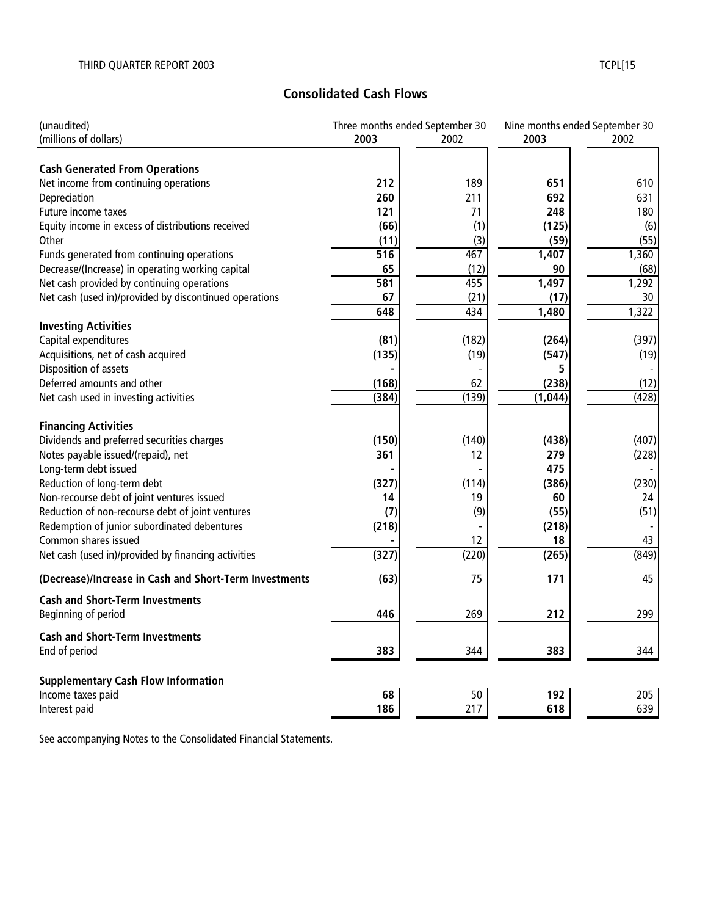# **Consolidated Cash Flows**

| 2003<br>(millions of dollars)<br>2002<br>2003<br>2002<br><b>Cash Generated From Operations</b><br>212<br>189<br>651<br>Net income from continuing operations<br>610<br>260<br>692<br>Depreciation<br>211<br>631<br>Future income taxes<br>121<br>71<br>248<br>180<br>Equity income in excess of distributions received<br>(66)<br>(1)<br>(125)<br>(6)<br>(3)<br>(59)<br>(55)<br>Other<br>(11)<br>$\overline{516}$<br>467<br>1,360<br>1,407<br>Funds generated from continuing operations<br>Decrease/(Increase) in operating working capital<br>65<br>(12)<br>90<br>(68)<br>455<br>1,497<br>1,292<br>Net cash provided by continuing operations<br>581<br>Net cash (used in)/provided by discontinued operations<br>(21)<br>67<br>(17)<br>30<br>1,322<br>648<br>434<br>1,480<br><b>Investing Activities</b><br>Capital expenditures<br>(397)<br>(81)<br>(182)<br>(264)<br>Acquisitions, net of cash acquired<br>(135)<br>(19)<br>(547)<br>(19)<br>Disposition of assets<br>5<br>Deferred amounts and other<br>62<br>(168)<br>(238)<br>(12)<br>(139)<br>(428)<br>Net cash used in investing activities<br>(384)<br>(1,044)<br><b>Financing Activities</b><br>Dividends and preferred securities charges<br>(150)<br>(140)<br>(438)<br>(407)<br>Notes payable issued/(repaid), net<br>361<br>12<br>279<br>(228)<br>Long-term debt issued<br>475<br>Reduction of long-term debt<br>(230)<br>(327)<br>(114)<br>(386)<br>Non-recourse debt of joint ventures issued<br>19<br>14<br>60<br>24<br>Reduction of non-recourse debt of joint ventures<br>(9)<br>(55)<br>(51)<br>(7)<br>Redemption of junior subordinated debentures<br>(218)<br>(218)<br>Common shares issued<br>12<br>18<br>43<br>(849)<br>(327)<br>(220)<br>Net cash (used in)/provided by financing activities<br>(265)<br>75<br>(Decrease)/Increase in Cash and Short-Term Investments<br>(63)<br>171<br>45<br><b>Cash and Short-Term Investments</b><br>Beginning of period<br>446<br>269<br>299<br>212<br><b>Cash and Short-Term Investments</b><br>End of period<br>383<br>344<br>383<br>344<br><b>Supplementary Cash Flow Information</b><br>Income taxes paid<br>192<br>68<br>50<br>205<br>217<br>Interest paid<br>186<br>618<br>639 | (unaudited) | Three months ended September 30 | Nine months ended September 30 |  |
|----------------------------------------------------------------------------------------------------------------------------------------------------------------------------------------------------------------------------------------------------------------------------------------------------------------------------------------------------------------------------------------------------------------------------------------------------------------------------------------------------------------------------------------------------------------------------------------------------------------------------------------------------------------------------------------------------------------------------------------------------------------------------------------------------------------------------------------------------------------------------------------------------------------------------------------------------------------------------------------------------------------------------------------------------------------------------------------------------------------------------------------------------------------------------------------------------------------------------------------------------------------------------------------------------------------------------------------------------------------------------------------------------------------------------------------------------------------------------------------------------------------------------------------------------------------------------------------------------------------------------------------------------------------------------------------------------------------------------------------------------------------------------------------------------------------------------------------------------------------------------------------------------------------------------------------------------------------------------------------------------------------------------------------------------------------------------------------------------------------------------------------------------------------------------------------------------|-------------|---------------------------------|--------------------------------|--|
|                                                                                                                                                                                                                                                                                                                                                                                                                                                                                                                                                                                                                                                                                                                                                                                                                                                                                                                                                                                                                                                                                                                                                                                                                                                                                                                                                                                                                                                                                                                                                                                                                                                                                                                                                                                                                                                                                                                                                                                                                                                                                                                                                                                                    |             |                                 |                                |  |
|                                                                                                                                                                                                                                                                                                                                                                                                                                                                                                                                                                                                                                                                                                                                                                                                                                                                                                                                                                                                                                                                                                                                                                                                                                                                                                                                                                                                                                                                                                                                                                                                                                                                                                                                                                                                                                                                                                                                                                                                                                                                                                                                                                                                    |             |                                 |                                |  |
|                                                                                                                                                                                                                                                                                                                                                                                                                                                                                                                                                                                                                                                                                                                                                                                                                                                                                                                                                                                                                                                                                                                                                                                                                                                                                                                                                                                                                                                                                                                                                                                                                                                                                                                                                                                                                                                                                                                                                                                                                                                                                                                                                                                                    |             |                                 |                                |  |
|                                                                                                                                                                                                                                                                                                                                                                                                                                                                                                                                                                                                                                                                                                                                                                                                                                                                                                                                                                                                                                                                                                                                                                                                                                                                                                                                                                                                                                                                                                                                                                                                                                                                                                                                                                                                                                                                                                                                                                                                                                                                                                                                                                                                    |             |                                 |                                |  |
|                                                                                                                                                                                                                                                                                                                                                                                                                                                                                                                                                                                                                                                                                                                                                                                                                                                                                                                                                                                                                                                                                                                                                                                                                                                                                                                                                                                                                                                                                                                                                                                                                                                                                                                                                                                                                                                                                                                                                                                                                                                                                                                                                                                                    |             |                                 |                                |  |
|                                                                                                                                                                                                                                                                                                                                                                                                                                                                                                                                                                                                                                                                                                                                                                                                                                                                                                                                                                                                                                                                                                                                                                                                                                                                                                                                                                                                                                                                                                                                                                                                                                                                                                                                                                                                                                                                                                                                                                                                                                                                                                                                                                                                    |             |                                 |                                |  |
|                                                                                                                                                                                                                                                                                                                                                                                                                                                                                                                                                                                                                                                                                                                                                                                                                                                                                                                                                                                                                                                                                                                                                                                                                                                                                                                                                                                                                                                                                                                                                                                                                                                                                                                                                                                                                                                                                                                                                                                                                                                                                                                                                                                                    |             |                                 |                                |  |
|                                                                                                                                                                                                                                                                                                                                                                                                                                                                                                                                                                                                                                                                                                                                                                                                                                                                                                                                                                                                                                                                                                                                                                                                                                                                                                                                                                                                                                                                                                                                                                                                                                                                                                                                                                                                                                                                                                                                                                                                                                                                                                                                                                                                    |             |                                 |                                |  |
|                                                                                                                                                                                                                                                                                                                                                                                                                                                                                                                                                                                                                                                                                                                                                                                                                                                                                                                                                                                                                                                                                                                                                                                                                                                                                                                                                                                                                                                                                                                                                                                                                                                                                                                                                                                                                                                                                                                                                                                                                                                                                                                                                                                                    |             |                                 |                                |  |
|                                                                                                                                                                                                                                                                                                                                                                                                                                                                                                                                                                                                                                                                                                                                                                                                                                                                                                                                                                                                                                                                                                                                                                                                                                                                                                                                                                                                                                                                                                                                                                                                                                                                                                                                                                                                                                                                                                                                                                                                                                                                                                                                                                                                    |             |                                 |                                |  |
|                                                                                                                                                                                                                                                                                                                                                                                                                                                                                                                                                                                                                                                                                                                                                                                                                                                                                                                                                                                                                                                                                                                                                                                                                                                                                                                                                                                                                                                                                                                                                                                                                                                                                                                                                                                                                                                                                                                                                                                                                                                                                                                                                                                                    |             |                                 |                                |  |
|                                                                                                                                                                                                                                                                                                                                                                                                                                                                                                                                                                                                                                                                                                                                                                                                                                                                                                                                                                                                                                                                                                                                                                                                                                                                                                                                                                                                                                                                                                                                                                                                                                                                                                                                                                                                                                                                                                                                                                                                                                                                                                                                                                                                    |             |                                 |                                |  |
|                                                                                                                                                                                                                                                                                                                                                                                                                                                                                                                                                                                                                                                                                                                                                                                                                                                                                                                                                                                                                                                                                                                                                                                                                                                                                                                                                                                                                                                                                                                                                                                                                                                                                                                                                                                                                                                                                                                                                                                                                                                                                                                                                                                                    |             |                                 |                                |  |
|                                                                                                                                                                                                                                                                                                                                                                                                                                                                                                                                                                                                                                                                                                                                                                                                                                                                                                                                                                                                                                                                                                                                                                                                                                                                                                                                                                                                                                                                                                                                                                                                                                                                                                                                                                                                                                                                                                                                                                                                                                                                                                                                                                                                    |             |                                 |                                |  |
|                                                                                                                                                                                                                                                                                                                                                                                                                                                                                                                                                                                                                                                                                                                                                                                                                                                                                                                                                                                                                                                                                                                                                                                                                                                                                                                                                                                                                                                                                                                                                                                                                                                                                                                                                                                                                                                                                                                                                                                                                                                                                                                                                                                                    |             |                                 |                                |  |
|                                                                                                                                                                                                                                                                                                                                                                                                                                                                                                                                                                                                                                                                                                                                                                                                                                                                                                                                                                                                                                                                                                                                                                                                                                                                                                                                                                                                                                                                                                                                                                                                                                                                                                                                                                                                                                                                                                                                                                                                                                                                                                                                                                                                    |             |                                 |                                |  |
|                                                                                                                                                                                                                                                                                                                                                                                                                                                                                                                                                                                                                                                                                                                                                                                                                                                                                                                                                                                                                                                                                                                                                                                                                                                                                                                                                                                                                                                                                                                                                                                                                                                                                                                                                                                                                                                                                                                                                                                                                                                                                                                                                                                                    |             |                                 |                                |  |
|                                                                                                                                                                                                                                                                                                                                                                                                                                                                                                                                                                                                                                                                                                                                                                                                                                                                                                                                                                                                                                                                                                                                                                                                                                                                                                                                                                                                                                                                                                                                                                                                                                                                                                                                                                                                                                                                                                                                                                                                                                                                                                                                                                                                    |             |                                 |                                |  |
|                                                                                                                                                                                                                                                                                                                                                                                                                                                                                                                                                                                                                                                                                                                                                                                                                                                                                                                                                                                                                                                                                                                                                                                                                                                                                                                                                                                                                                                                                                                                                                                                                                                                                                                                                                                                                                                                                                                                                                                                                                                                                                                                                                                                    |             |                                 |                                |  |
|                                                                                                                                                                                                                                                                                                                                                                                                                                                                                                                                                                                                                                                                                                                                                                                                                                                                                                                                                                                                                                                                                                                                                                                                                                                                                                                                                                                                                                                                                                                                                                                                                                                                                                                                                                                                                                                                                                                                                                                                                                                                                                                                                                                                    |             |                                 |                                |  |
|                                                                                                                                                                                                                                                                                                                                                                                                                                                                                                                                                                                                                                                                                                                                                                                                                                                                                                                                                                                                                                                                                                                                                                                                                                                                                                                                                                                                                                                                                                                                                                                                                                                                                                                                                                                                                                                                                                                                                                                                                                                                                                                                                                                                    |             |                                 |                                |  |
|                                                                                                                                                                                                                                                                                                                                                                                                                                                                                                                                                                                                                                                                                                                                                                                                                                                                                                                                                                                                                                                                                                                                                                                                                                                                                                                                                                                                                                                                                                                                                                                                                                                                                                                                                                                                                                                                                                                                                                                                                                                                                                                                                                                                    |             |                                 |                                |  |
|                                                                                                                                                                                                                                                                                                                                                                                                                                                                                                                                                                                                                                                                                                                                                                                                                                                                                                                                                                                                                                                                                                                                                                                                                                                                                                                                                                                                                                                                                                                                                                                                                                                                                                                                                                                                                                                                                                                                                                                                                                                                                                                                                                                                    |             |                                 |                                |  |
|                                                                                                                                                                                                                                                                                                                                                                                                                                                                                                                                                                                                                                                                                                                                                                                                                                                                                                                                                                                                                                                                                                                                                                                                                                                                                                                                                                                                                                                                                                                                                                                                                                                                                                                                                                                                                                                                                                                                                                                                                                                                                                                                                                                                    |             |                                 |                                |  |
|                                                                                                                                                                                                                                                                                                                                                                                                                                                                                                                                                                                                                                                                                                                                                                                                                                                                                                                                                                                                                                                                                                                                                                                                                                                                                                                                                                                                                                                                                                                                                                                                                                                                                                                                                                                                                                                                                                                                                                                                                                                                                                                                                                                                    |             |                                 |                                |  |
|                                                                                                                                                                                                                                                                                                                                                                                                                                                                                                                                                                                                                                                                                                                                                                                                                                                                                                                                                                                                                                                                                                                                                                                                                                                                                                                                                                                                                                                                                                                                                                                                                                                                                                                                                                                                                                                                                                                                                                                                                                                                                                                                                                                                    |             |                                 |                                |  |
|                                                                                                                                                                                                                                                                                                                                                                                                                                                                                                                                                                                                                                                                                                                                                                                                                                                                                                                                                                                                                                                                                                                                                                                                                                                                                                                                                                                                                                                                                                                                                                                                                                                                                                                                                                                                                                                                                                                                                                                                                                                                                                                                                                                                    |             |                                 |                                |  |
|                                                                                                                                                                                                                                                                                                                                                                                                                                                                                                                                                                                                                                                                                                                                                                                                                                                                                                                                                                                                                                                                                                                                                                                                                                                                                                                                                                                                                                                                                                                                                                                                                                                                                                                                                                                                                                                                                                                                                                                                                                                                                                                                                                                                    |             |                                 |                                |  |
|                                                                                                                                                                                                                                                                                                                                                                                                                                                                                                                                                                                                                                                                                                                                                                                                                                                                                                                                                                                                                                                                                                                                                                                                                                                                                                                                                                                                                                                                                                                                                                                                                                                                                                                                                                                                                                                                                                                                                                                                                                                                                                                                                                                                    |             |                                 |                                |  |
|                                                                                                                                                                                                                                                                                                                                                                                                                                                                                                                                                                                                                                                                                                                                                                                                                                                                                                                                                                                                                                                                                                                                                                                                                                                                                                                                                                                                                                                                                                                                                                                                                                                                                                                                                                                                                                                                                                                                                                                                                                                                                                                                                                                                    |             |                                 |                                |  |
|                                                                                                                                                                                                                                                                                                                                                                                                                                                                                                                                                                                                                                                                                                                                                                                                                                                                                                                                                                                                                                                                                                                                                                                                                                                                                                                                                                                                                                                                                                                                                                                                                                                                                                                                                                                                                                                                                                                                                                                                                                                                                                                                                                                                    |             |                                 |                                |  |
|                                                                                                                                                                                                                                                                                                                                                                                                                                                                                                                                                                                                                                                                                                                                                                                                                                                                                                                                                                                                                                                                                                                                                                                                                                                                                                                                                                                                                                                                                                                                                                                                                                                                                                                                                                                                                                                                                                                                                                                                                                                                                                                                                                                                    |             |                                 |                                |  |
|                                                                                                                                                                                                                                                                                                                                                                                                                                                                                                                                                                                                                                                                                                                                                                                                                                                                                                                                                                                                                                                                                                                                                                                                                                                                                                                                                                                                                                                                                                                                                                                                                                                                                                                                                                                                                                                                                                                                                                                                                                                                                                                                                                                                    |             |                                 |                                |  |
|                                                                                                                                                                                                                                                                                                                                                                                                                                                                                                                                                                                                                                                                                                                                                                                                                                                                                                                                                                                                                                                                                                                                                                                                                                                                                                                                                                                                                                                                                                                                                                                                                                                                                                                                                                                                                                                                                                                                                                                                                                                                                                                                                                                                    |             |                                 |                                |  |
|                                                                                                                                                                                                                                                                                                                                                                                                                                                                                                                                                                                                                                                                                                                                                                                                                                                                                                                                                                                                                                                                                                                                                                                                                                                                                                                                                                                                                                                                                                                                                                                                                                                                                                                                                                                                                                                                                                                                                                                                                                                                                                                                                                                                    |             |                                 |                                |  |
|                                                                                                                                                                                                                                                                                                                                                                                                                                                                                                                                                                                                                                                                                                                                                                                                                                                                                                                                                                                                                                                                                                                                                                                                                                                                                                                                                                                                                                                                                                                                                                                                                                                                                                                                                                                                                                                                                                                                                                                                                                                                                                                                                                                                    |             |                                 |                                |  |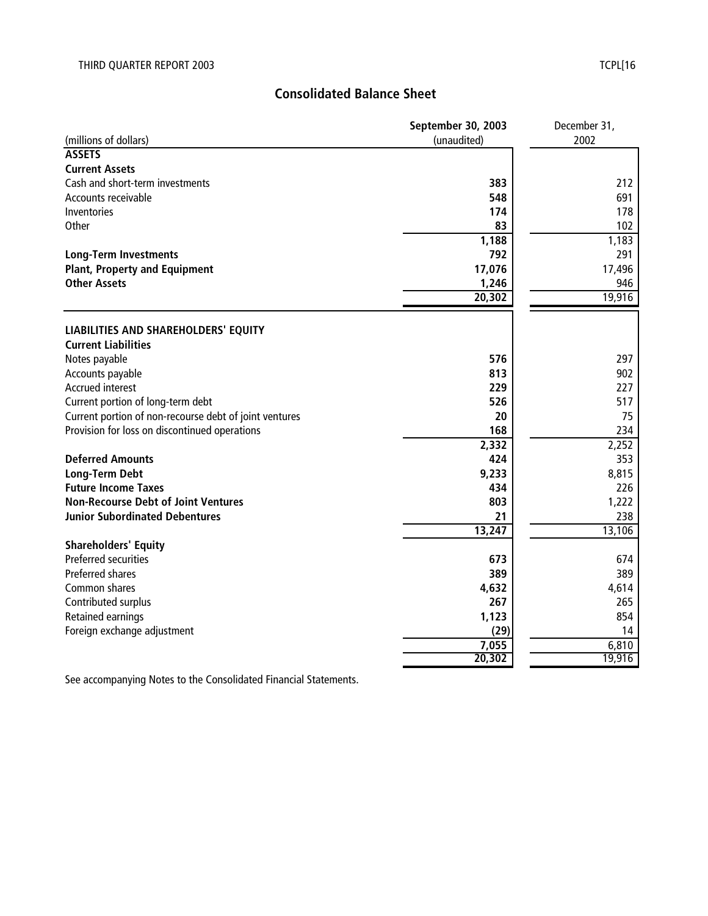# **Consolidated Balance Sheet**

|                                                        | September 30, 2003 | December 31, |
|--------------------------------------------------------|--------------------|--------------|
| (millions of dollars)                                  | (unaudited)        | 2002         |
| <b>ASSETS</b>                                          |                    |              |
| <b>Current Assets</b>                                  |                    |              |
| Cash and short-term investments                        | 383                | 212          |
| Accounts receivable                                    | 548                | 691          |
| Inventories                                            | 174                | 178          |
| Other                                                  | 83                 | 102          |
|                                                        | 1,188              | 1,183        |
| <b>Long-Term Investments</b>                           | 792                | 291          |
| <b>Plant, Property and Equipment</b>                   | 17,076             | 17,496       |
| <b>Other Assets</b>                                    | 1,246              | 946          |
|                                                        | 20,302             | 19,916       |
|                                                        |                    |              |
| LIABILITIES AND SHAREHOLDERS' EQUITY                   |                    |              |
| <b>Current Liabilities</b>                             |                    |              |
| Notes payable                                          | 576                | 297          |
| Accounts payable                                       | 813                | 902          |
| <b>Accrued interest</b>                                | 229                | 227          |
| Current portion of long-term debt                      | 526                | 517          |
| Current portion of non-recourse debt of joint ventures | 20                 | 75           |
| Provision for loss on discontinued operations          | 168                | 234          |
|                                                        | 2,332              | 2,252        |
| <b>Deferred Amounts</b>                                | 424                | 353          |
| <b>Long-Term Debt</b>                                  | 9,233              | 8,815        |
| <b>Future Income Taxes</b>                             | 434                | 226          |
| <b>Non-Recourse Debt of Joint Ventures</b>             | 803                | 1,222        |
| <b>Junior Subordinated Debentures</b>                  | 21                 | 238          |
|                                                        | 13,247             | 13,106       |
| <b>Shareholders' Equity</b>                            |                    |              |
| Preferred securities                                   | 673                | 674          |
| <b>Preferred shares</b>                                | 389                | 389          |
| Common shares                                          | 4,632              | 4,614        |
| Contributed surplus                                    | 267                | 265          |
| <b>Retained earnings</b>                               | 1,123              | 854          |
| Foreign exchange adjustment                            | (29)               | 14           |
|                                                        | 7,055              | 6,810        |
|                                                        | 20,302             | 19,916       |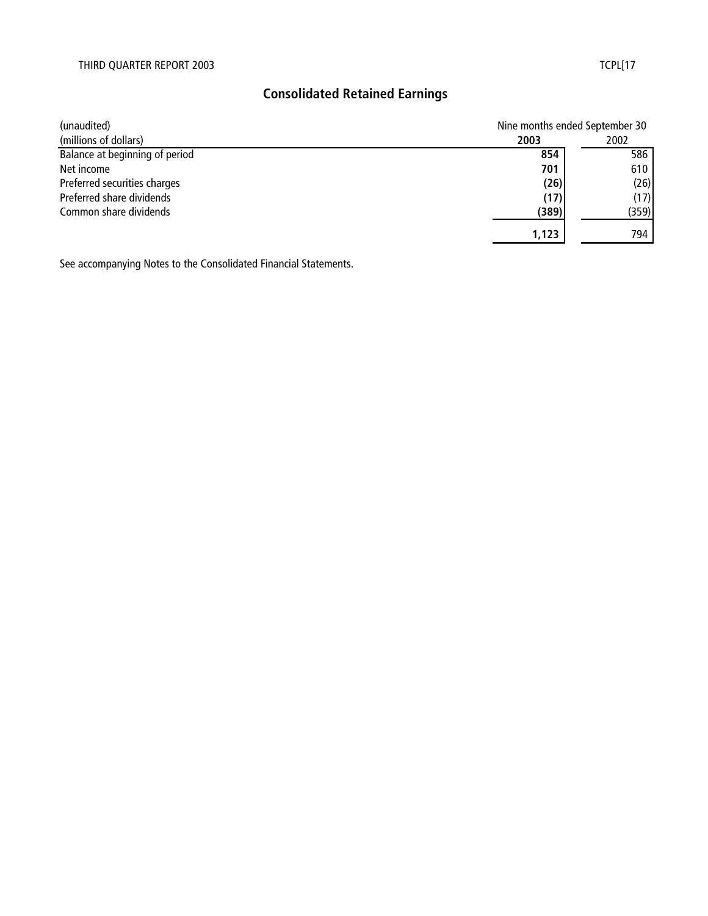# **Consolidated Retained Earnings**

| (unaudited)                    | Nine months ended September 30 |       |
|--------------------------------|--------------------------------|-------|
| (millions of dollars)          | 2003                           | 2002  |
| Balance at beginning of period | 854                            | 586   |
| Net income                     | 701                            | 610   |
| Preferred securities charges   | (26)                           | (26)  |
| Preferred share dividends      | (17)                           | (17)  |
| Common share dividends         | (389)                          | (359) |
|                                | 1,123                          | 794   |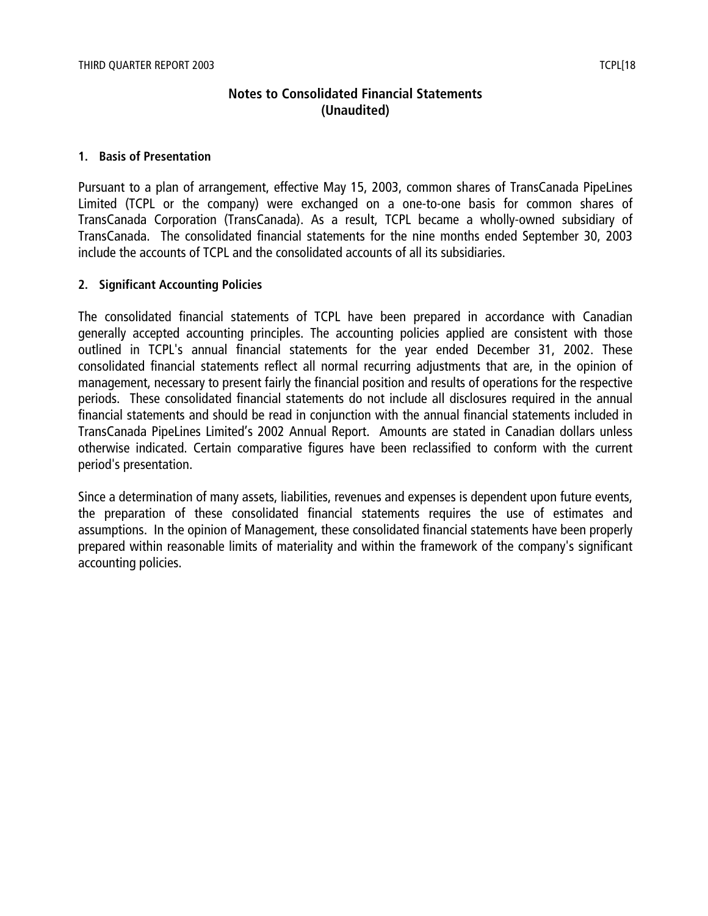## **Notes to Consolidated Financial Statements (Unaudited)**

#### **1. Basis of Presentation**

Pursuant to a plan of arrangement, effective May 15, 2003, common shares of TransCanada PipeLines Limited (TCPL or the company) were exchanged on a one-to-one basis for common shares of TransCanada Corporation (TransCanada). As a result, TCPL became a wholly-owned subsidiary of TransCanada. The consolidated financial statements for the nine months ended September 30, 2003 include the accounts of TCPL and the consolidated accounts of all its subsidiaries.

#### **2. Significant Accounting Policies**

The consolidated financial statements of TCPL have been prepared in accordance with Canadian generally accepted accounting principles. The accounting policies applied are consistent with those outlined in TCPL's annual financial statements for the year ended December 31, 2002. These consolidated financial statements reflect all normal recurring adjustments that are, in the opinion of management, necessary to present fairly the financial position and results of operations for the respective periods. These consolidated financial statements do not include all disclosures required in the annual financial statements and should be read in conjunction with the annual financial statements included in TransCanada PipeLines Limited's 2002 Annual Report. Amounts are stated in Canadian dollars unless otherwise indicated. Certain comparative figures have been reclassified to conform with the current period's presentation.

Since a determination of many assets, liabilities, revenues and expenses is dependent upon future events, the preparation of these consolidated financial statements requires the use of estimates and assumptions. In the opinion of Management, these consolidated financial statements have been properly prepared within reasonable limits of materiality and within the framework of the company's significant accounting policies.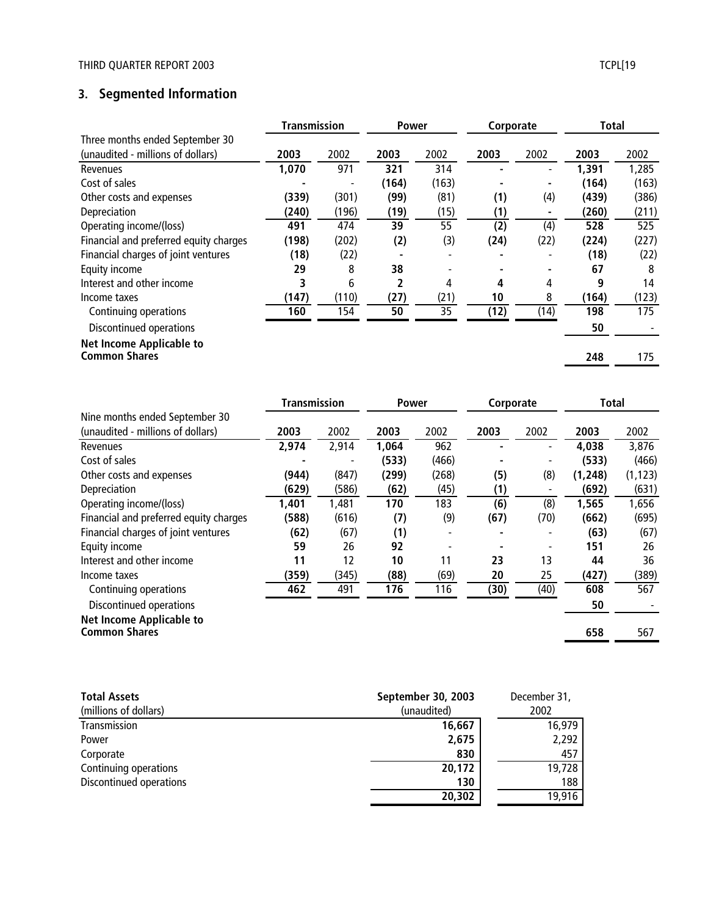## **3. Segmented Information**

|                                        | <b>Transmission</b> |       | Power |       | Corporate |      | <b>Total</b> |       |
|----------------------------------------|---------------------|-------|-------|-------|-----------|------|--------------|-------|
| Three months ended September 30        |                     |       |       |       |           |      |              |       |
| (unaudited - millions of dollars)      | 2003                | 2002  | 2003  | 2002  | 2003      | 2002 | 2003         | 2002  |
| Revenues                               | 1,070               | 971   | 321   | 314   |           |      | 1,391        | 1,285 |
| Cost of sales                          |                     |       | (164) | (163) |           |      | (164)        | (163) |
| Other costs and expenses               | (339)               | (301) | (99)  | (81)  | (1)       | (4)  | (439)        | (386) |
| Depreciation                           | (240)               | (196) | (19)  | (15)  | (1)       |      | (260)        | (211) |
| Operating income/(loss)                | 491                 | 474   | 39    | 55    | (2)       | (4)  | 528          | 525   |
| Financial and preferred equity charges | (198)               | (202) | (2)   | (3)   | (24)      | (22) | (224)        | (227) |
| Financial charges of joint ventures    | (18)                | (22)  |       |       |           |      | (18)         | (22)  |
| Equity income                          | 29                  | 8     | 38    |       |           |      | 67           | 8     |
| Interest and other income              | 3                   | 6     |       | 4     | 4         | 4    | 9            | 14    |
| Income taxes                           | (147)               | (110) | (27)  | (21)  | 10        | 8    | (164)        | (123) |
| Continuing operations                  | 160                 | 154   | 50    | 35    | (12)      | (14) | 198          | 175   |
| Discontinued operations                |                     |       |       |       |           |      | 50           |       |
| <b>Net Income Applicable to</b>        |                     |       |       |       |           |      |              |       |
| <b>Common Shares</b>                   |                     |       |       |       |           |      | 248          | 175   |

|                                        | <b>Transmission</b> |       | <b>Power</b> |       | Corporate |                          | <b>Total</b> |          |
|----------------------------------------|---------------------|-------|--------------|-------|-----------|--------------------------|--------------|----------|
| Nine months ended September 30         |                     |       |              |       |           |                          |              |          |
| (unaudited - millions of dollars)      | 2003                | 2002  | 2003         | 2002  | 2003      | 2002                     | 2003         | 2002     |
| Revenues                               | 2,974               | 2,914 | 1,064        | 962   |           | ٠                        | 4,038        | 3,876    |
| Cost of sales                          |                     |       | (533)        | (466) |           | ٠                        | (533)        | (466)    |
| Other costs and expenses               | (944)               | (847) | (299)        | (268) | (5)       | (8)                      | (1, 248)     | (1, 123) |
| Depreciation                           | (629)               | (586) | (62)         | (45)  | (1)       |                          | (692)        | (631)    |
| Operating income/(loss)                | 1,401               | 1,481 | 170          | 183   | (6)       | (8)                      | 1,565        | 1,656    |
| Financial and preferred equity charges | (588)               | (616) | (7)          | (9)   | (67)      | (70)                     | (662)        | (695)    |
| Financial charges of joint ventures    | (62)                | (67)  | (1)          |       |           | $\overline{\phantom{0}}$ | (63)         | (67)     |
| Equity income                          | 59                  | 26    | 92           |       |           | $\overline{\phantom{a}}$ | 151          | 26       |
| Interest and other income              | 11                  | 12    | 10           | 11    | 23        | 13                       | 44           | 36       |
| Income taxes                           | (359)               | (345) | (88)         | (69)  | 20        | 25                       | (427)        | (389)    |
| Continuing operations                  | 462                 | 491   | 176          | 116   | (30)      | (40)                     | 608          | 567      |
| Discontinued operations                |                     |       |              |       |           |                          | 50           |          |
| <b>Net Income Applicable to</b>        |                     |       |              |       |           |                          |              |          |
| <b>Common Shares</b>                   |                     |       |              |       |           |                          | 658          | 567      |
|                                        |                     |       |              |       |           |                          |              |          |

| <b>Total Assets</b>     | September 30, 2003 | December 31, |
|-------------------------|--------------------|--------------|
| (millions of dollars)   | (unaudited)        | 2002         |
| Transmission            | 16,667             | 16.979       |
| Power                   | 2,675              | 2,292        |
| Corporate               | 830                | 457          |
| Continuing operations   | 20,172             | 19,728       |
| Discontinued operations | 130                | 188          |
|                         | 20,302             | 19,916       |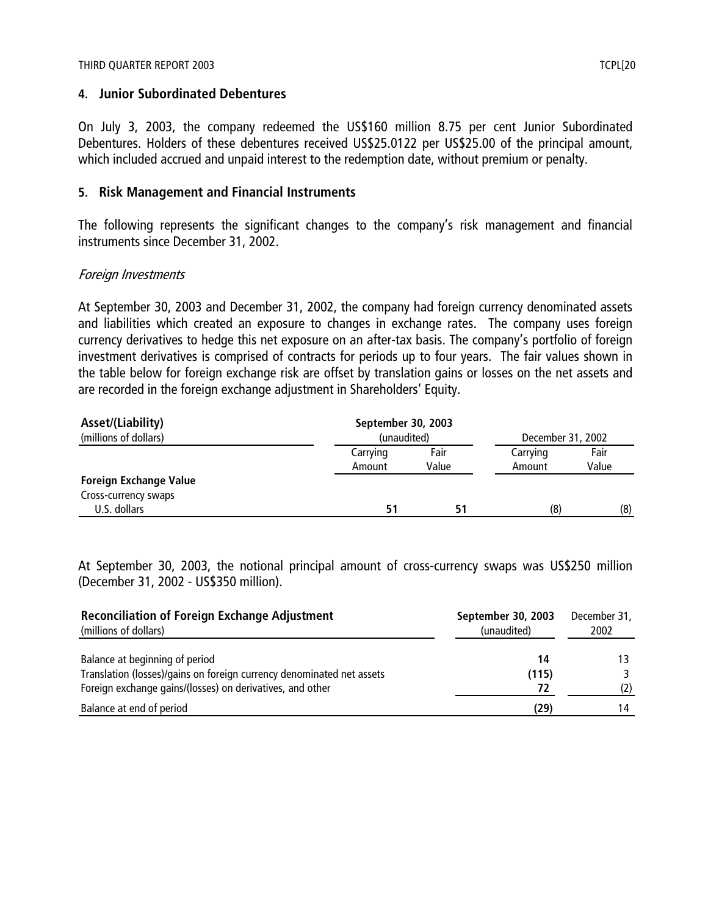## **4. Junior Subordinated Debentures**

On July 3, 2003, the company redeemed the US\$160 million 8.75 per cent Junior Subordinated Debentures. Holders of these debentures received US\$25.0122 per US\$25.00 of the principal amount, which included accrued and unpaid interest to the redemption date, without premium or penalty.

## **5. Risk Management and Financial Instruments**

The following represents the significant changes to the company's risk management and financial instruments since December 31, 2002.

## Foreign Investments

At September 30, 2003 and December 31, 2002, the company had foreign currency denominated assets and liabilities which created an exposure to changes in exchange rates. The company uses foreign currency derivatives to hedge this net exposure on an after-tax basis. The company's portfolio of foreign investment derivatives is comprised of contracts for periods up to four years. The fair values shown in the table below for foreign exchange risk are offset by translation gains or losses on the net assets and are recorded in the foreign exchange adjustment in Shareholders' Equity.

| Asset/(Liability)             | September 30, 2003 |       |                   |       |  |
|-------------------------------|--------------------|-------|-------------------|-------|--|
| (millions of dollars)         | (unaudited)        |       | December 31, 2002 |       |  |
|                               | Carrying           | Fair  | Carrying          | Fair  |  |
|                               | Amount             | Value | Amount            | Value |  |
| <b>Foreign Exchange Value</b> |                    |       |                   |       |  |
| Cross-currency swaps          |                    |       |                   |       |  |
| U.S. dollars                  | 51                 | 51    | (8)               | (8)   |  |

At September 30, 2003, the notional principal amount of cross-currency swaps was US\$250 million (December 31, 2002 - US\$350 million).

| <b>Reconciliation of Foreign Exchange Adjustment</b><br>(millions of dollars) | September 30, 2003<br>(unaudited) | December 31,<br>2002 |
|-------------------------------------------------------------------------------|-----------------------------------|----------------------|
| Balance at beginning of period                                                | 14                                |                      |
| Translation (losses)/gains on foreign currency denominated net assets         | (115)                             |                      |
| Foreign exchange gains/(losses) on derivatives, and other                     | 72                                | (2)                  |
| Balance at end of period                                                      | (29)                              | 14                   |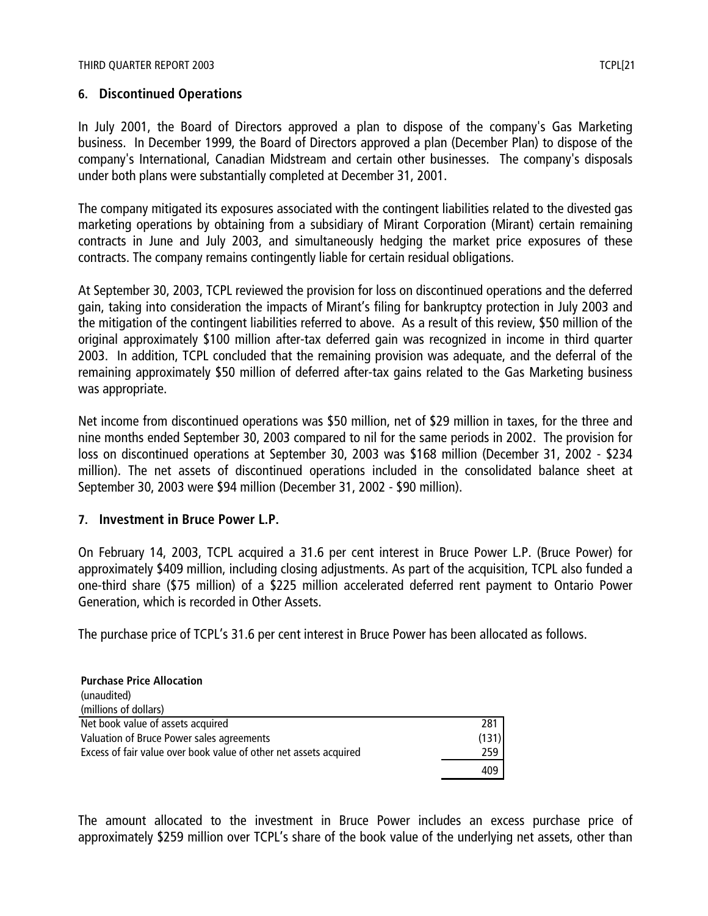## **6. Discontinued Operations**

In July 2001, the Board of Directors approved a plan to dispose of the company's Gas Marketing business. In December 1999, the Board of Directors approved a plan (December Plan) to dispose of the company's International, Canadian Midstream and certain other businesses. The company's disposals under both plans were substantially completed at December 31, 2001.

The company mitigated its exposures associated with the contingent liabilities related to the divested gas marketing operations by obtaining from a subsidiary of Mirant Corporation (Mirant) certain remaining contracts in June and July 2003, and simultaneously hedging the market price exposures of these contracts. The company remains contingently liable for certain residual obligations.

At September 30, 2003, TCPL reviewed the provision for loss on discontinued operations and the deferred gain, taking into consideration the impacts of Mirant's filing for bankruptcy protection in July 2003 and the mitigation of the contingent liabilities referred to above. As a result of this review, \$50 million of the original approximately \$100 million after-tax deferred gain was recognized in income in third quarter 2003. In addition, TCPL concluded that the remaining provision was adequate, and the deferral of the remaining approximately \$50 million of deferred after-tax gains related to the Gas Marketing business was appropriate.

Net income from discontinued operations was \$50 million, net of \$29 million in taxes, for the three and nine months ended September 30, 2003 compared to nil for the same periods in 2002. The provision for loss on discontinued operations at September 30, 2003 was \$168 million (December 31, 2002 - \$234 million). The net assets of discontinued operations included in the consolidated balance sheet at September 30, 2003 were \$94 million (December 31, 2002 - \$90 million).

## **7. Investment in Bruce Power L.P.**

On February 14, 2003, TCPL acquired a 31.6 per cent interest in Bruce Power L.P. (Bruce Power) for approximately \$409 million, including closing adjustments. As part of the acquisition, TCPL also funded a one-third share (\$75 million) of a \$225 million accelerated deferred rent payment to Ontario Power Generation, which is recorded in Other Assets.

The purchase price of TCPL's 31.6 per cent interest in Bruce Power has been allocated as follows.

| <b>Purchase Price Allocation</b>                                  |       |
|-------------------------------------------------------------------|-------|
| (unaudited)                                                       |       |
| (millions of dollars)                                             |       |
| Net book value of assets acquired                                 | 281   |
| Valuation of Bruce Power sales agreements                         | (131) |
| Excess of fair value over book value of other net assets acquired | 259   |
|                                                                   | 409   |

The amount allocated to the investment in Bruce Power includes an excess purchase price of approximately \$259 million over TCPL's share of the book value of the underlying net assets, other than